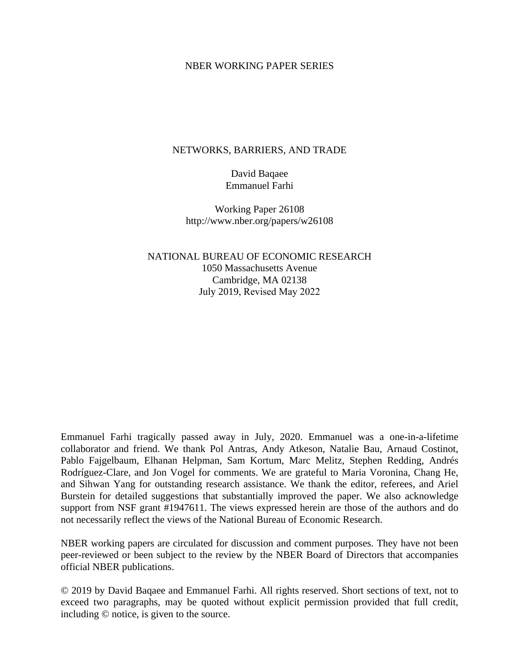#### NBER WORKING PAPER SERIES

#### NETWORKS, BARRIERS, AND TRADE

David Baqaee Emmanuel Farhi

Working Paper 26108 http://www.nber.org/papers/w26108

NATIONAL BUREAU OF ECONOMIC RESEARCH 1050 Massachusetts Avenue Cambridge, MA 02138 July 2019, Revised May 2022

Emmanuel Farhi tragically passed away in July, 2020. Emmanuel was a one-in-a-lifetime collaborator and friend. We thank Pol Antras, Andy Atkeson, Natalie Bau, Arnaud Costinot, Pablo Fajgelbaum, Elhanan Helpman, Sam Kortum, Marc Melitz, Stephen Redding, Andrés Rodríguez-Clare, and Jon Vogel for comments. We are grateful to Maria Voronina, Chang He, and Sihwan Yang for outstanding research assistance. We thank the editor, referees, and Ariel Burstein for detailed suggestions that substantially improved the paper. We also acknowledge support from NSF grant #1947611. The views expressed herein are those of the authors and do not necessarily reflect the views of the National Bureau of Economic Research.

NBER working papers are circulated for discussion and comment purposes. They have not been peer-reviewed or been subject to the review by the NBER Board of Directors that accompanies official NBER publications.

© 2019 by David Baqaee and Emmanuel Farhi. All rights reserved. Short sections of text, not to exceed two paragraphs, may be quoted without explicit permission provided that full credit, including © notice, is given to the source.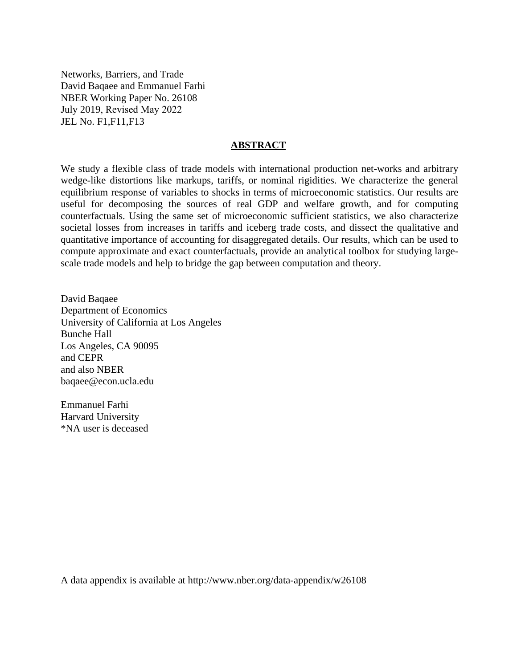Networks, Barriers, and Trade David Baqaee and Emmanuel Farhi NBER Working Paper No. 26108 July 2019, Revised May 2022 JEL No. F1,F11,F13

#### **ABSTRACT**

We study a flexible class of trade models with international production net-works and arbitrary wedge-like distortions like markups, tariffs, or nominal rigidities. We characterize the general equilibrium response of variables to shocks in terms of microeconomic statistics. Our results are useful for decomposing the sources of real GDP and welfare growth, and for computing counterfactuals. Using the same set of microeconomic sufficient statistics, we also characterize societal losses from increases in tariffs and iceberg trade costs, and dissect the qualitative and quantitative importance of accounting for disaggregated details. Our results, which can be used to compute approximate and exact counterfactuals, provide an analytical toolbox for studying largescale trade models and help to bridge the gap between computation and theory.

David Baqaee Department of Economics University of California at Los Angeles Bunche Hall Los Angeles, CA 90095 and CEPR and also NBER baqaee@econ.ucla.edu

Emmanuel Farhi Harvard University \*NA user is deceased

A data appendix is available at http://www.nber.org/data-appendix/w26108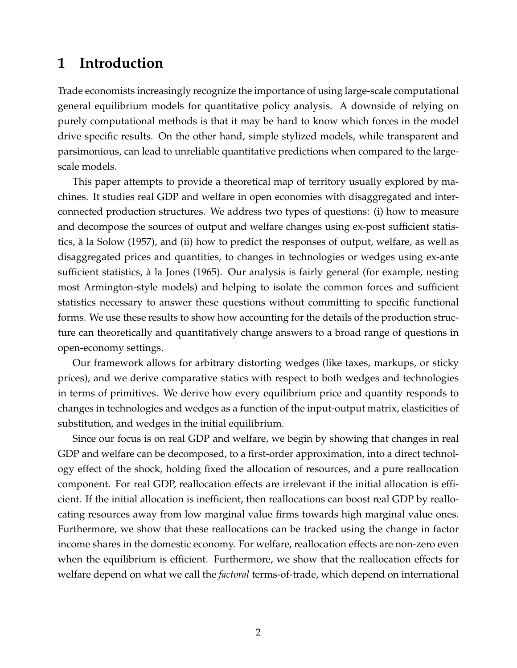# **1 Introduction**

Trade economists increasingly recognize the importance of using large-scale computational general equilibrium models for quantitative policy analysis. A downside of relying on purely computational methods is that it may be hard to know which forces in the model drive specific results. On the other hand, simple stylized models, while transparent and parsimonious, can lead to unreliable quantitative predictions when compared to the largescale models.

This paper attempts to provide a theoretical map of territory usually explored by machines. It studies real GDP and welfare in open economies with disaggregated and interconnected production structures. We address two types of questions: (i) how to measure and decompose the sources of output and welfare changes using ex-post sufficient statistics, a la [Solow](#page-45-0) [\(1957\)](#page-45-0), and (ii) how to predict the responses of output, welfare, as well as ` disaggregated prices and quantities, to changes in technologies or wedges using ex-ante sufficient statistics, a la [Jones](#page-45-1) [\(1965\)](#page-45-1). Our analysis is fairly general (for example, nesting ` most Armington-style models) and helping to isolate the common forces and sufficient statistics necessary to answer these questions without committing to specific functional forms. We use these results to show how accounting for the details of the production structure can theoretically and quantitatively change answers to a broad range of questions in open-economy settings.

Our framework allows for arbitrary distorting wedges (like taxes, markups, or sticky prices), and we derive comparative statics with respect to both wedges and technologies in terms of primitives. We derive how every equilibrium price and quantity responds to changes in technologies and wedges as a function of the input-output matrix, elasticities of substitution, and wedges in the initial equilibrium.

Since our focus is on real GDP and welfare, we begin by showing that changes in real GDP and welfare can be decomposed, to a first-order approximation, into a direct technology effect of the shock, holding fixed the allocation of resources, and a pure reallocation component. For real GDP, reallocation effects are irrelevant if the initial allocation is efficient. If the initial allocation is inefficient, then reallocations can boost real GDP by reallocating resources away from low marginal value firms towards high marginal value ones. Furthermore, we show that these reallocations can be tracked using the change in factor income shares in the domestic economy. For welfare, reallocation effects are non-zero even when the equilibrium is efficient. Furthermore, we show that the reallocation effects for welfare depend on what we call the *factoral* terms-of-trade, which depend on international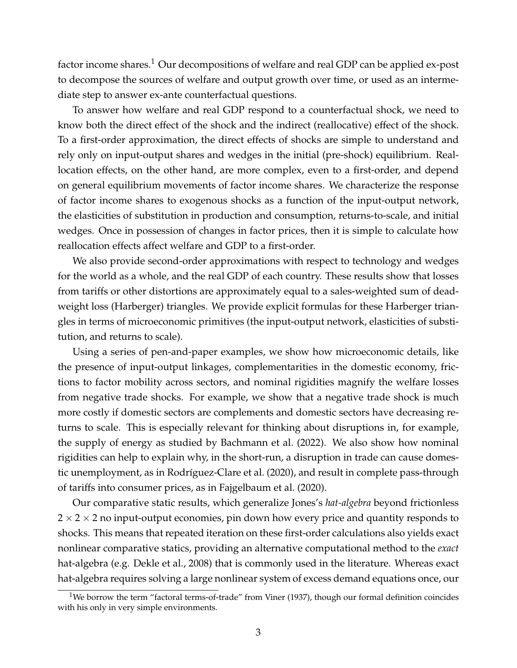factor income shares.<sup>[1](#page-3-0)</sup> Our decompositions of welfare and real GDP can be applied ex-post to decompose the sources of welfare and output growth over time, or used as an intermediate step to answer ex-ante counterfactual questions.

To answer how welfare and real GDP respond to a counterfactual shock, we need to know both the direct effect of the shock and the indirect (reallocative) effect of the shock. To a first-order approximation, the direct effects of shocks are simple to understand and rely only on input-output shares and wedges in the initial (pre-shock) equilibrium. Reallocation effects, on the other hand, are more complex, even to a first-order, and depend on general equilibrium movements of factor income shares. We characterize the response of factor income shares to exogenous shocks as a function of the input-output network, the elasticities of substitution in production and consumption, returns-to-scale, and initial wedges. Once in possession of changes in factor prices, then it is simple to calculate how reallocation effects affect welfare and GDP to a first-order.

We also provide second-order approximations with respect to technology and wedges for the world as a whole, and the real GDP of each country. These results show that losses from tariffs or other distortions are approximately equal to a sales-weighted sum of deadweight loss (Harberger) triangles. We provide explicit formulas for these Harberger triangles in terms of microeconomic primitives (the input-output network, elasticities of substitution, and returns to scale).

Using a series of pen-and-paper examples, we show how microeconomic details, like the presence of input-output linkages, complementarities in the domestic economy, frictions to factor mobility across sectors, and nominal rigidities magnify the welfare losses from negative trade shocks. For example, we show that a negative trade shock is much more costly if domestic sectors are complements and domestic sectors have decreasing returns to scale. This is especially relevant for thinking about disruptions in, for example, the supply of energy as studied by [Bachmann et al.](#page-43-0) [\(2022\)](#page-43-0). We also show how nominal rigidities can help to explain why, in the short-run, a disruption in trade can cause domes-tic unemployment, as in Rodríguez-Clare et al. [\(2020\)](#page-45-2), and result in complete pass-through of tariffs into consumer prices, as in [Fajgelbaum et al.](#page-44-0) [\(2020\)](#page-44-0).

Our comparative static results, which generalize [Jones'](#page-45-1)s *hat-algebra* beyond frictionless  $2 \times 2 \times 2$  no input-output economies, pin down how every price and quantity responds to shocks. This means that repeated iteration on these first-order calculations also yields exact nonlinear comparative statics, providing an alternative computational method to the *exact* hat-algebra (e.g. [Dekle et al., 2008\)](#page-44-1) that is commonly used in the literature. Whereas exact hat-algebra requires solving a large nonlinear system of excess demand equations once, our

<span id="page-3-0"></span> $1$ We borrow the term "factoral terms-of-trade" from [Viner](#page-45-3) [\(1937\)](#page-45-3), though our formal definition coincides with his only in very simple environments.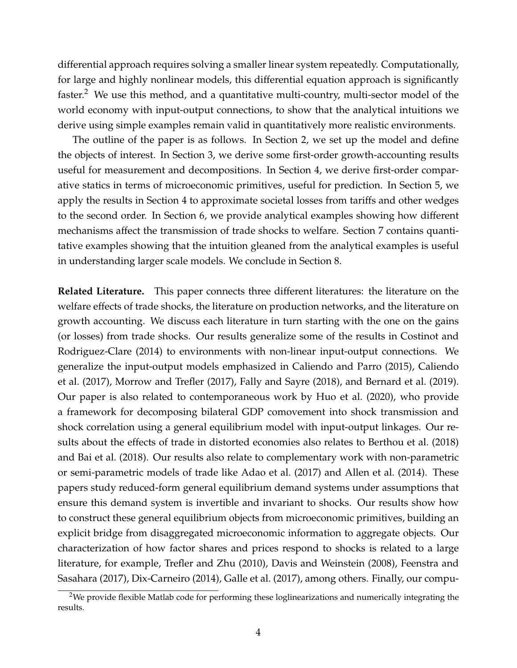differential approach requires solving a smaller linear system repeatedly. Computationally, for large and highly nonlinear models, this differential equation approach is significantly faster.<sup>[2](#page-4-0)</sup> We use this method, and a quantitative multi-country, multi-sector model of the world economy with input-output connections, to show that the analytical intuitions we derive using simple examples remain valid in quantitatively more realistic environments.

The outline of the paper is as follows. In Section [2,](#page-6-0) we set up the model and define the objects of interest. In Section [3,](#page-12-0) we derive some first-order growth-accounting results useful for measurement and decompositions. In Section [4,](#page-18-0) we derive first-order comparative statics in terms of microeconomic primitives, useful for prediction. In Section [5,](#page-25-0) we apply the results in Section [4](#page-18-0) to approximate societal losses from tariffs and other wedges to the second order. In Section [6,](#page-30-0) we provide analytical examples showing how different mechanisms affect the transmission of trade shocks to welfare. Section [7](#page-37-0) contains quantitative examples showing that the intuition gleaned from the analytical examples is useful in understanding larger scale models. We conclude in Section [8.](#page-43-1)

**Related Literature.** This paper connects three different literatures: the literature on the welfare effects of trade shocks, the literature on production networks, and the literature on growth accounting. We discuss each literature in turn starting with the one on the gains (or losses) from trade shocks. Our results generalize some of the results in [Costinot and](#page-44-2) [Rodriguez-Clare](#page-44-2) [\(2014\)](#page-44-2) to environments with non-linear input-output connections. We generalize the input-output models emphasized in [Caliendo and Parro](#page-44-3) [\(2015\)](#page-44-3), [Caliendo](#page-44-4) [et al.](#page-44-4) [\(2017\)](#page-44-4), [Morrow and Trefler](#page-45-4) [\(2017\)](#page-45-4), [Fally and Sayre](#page-44-5) [\(2018\)](#page-44-5), and [Bernard et al.](#page-43-2) [\(2019\)](#page-43-2). Our paper is also related to contemporaneous work by [Huo et al.](#page-45-5) [\(2020\)](#page-45-5), who provide a framework for decomposing bilateral GDP comovement into shock transmission and shock correlation using a general equilibrium model with input-output linkages. Our results about the effects of trade in distorted economies also relates to [Berthou et al.](#page-43-3) [\(2018\)](#page-43-3) and [Bai et al.](#page-43-4) [\(2018\)](#page-43-4). Our results also relate to complementary work with non-parametric or semi-parametric models of trade like [Adao et al.](#page-43-5) [\(2017\)](#page-43-5) and [Allen et al.](#page-43-6) [\(2014\)](#page-43-6). These papers study reduced-form general equilibrium demand systems under assumptions that ensure this demand system is invertible and invariant to shocks. Our results show how to construct these general equilibrium objects from microeconomic primitives, building an explicit bridge from disaggregated microeconomic information to aggregate objects. Our characterization of how factor shares and prices respond to shocks is related to a large literature, for example, [Trefler and Zhu](#page-45-6) [\(2010\)](#page-45-6), [Davis and Weinstein](#page-44-6) [\(2008\)](#page-44-6), [Feenstra and](#page-44-7) [Sasahara](#page-44-7) [\(2017\)](#page-44-7), [Dix-Carneiro](#page-44-8) [\(2014\)](#page-44-8), [Galle et al.](#page-44-9) [\(2017\)](#page-44-9), among others. Finally, our compu-

<span id="page-4-0"></span> $2$ We provide flexible Matlab code for performing these loglinearizations and numerically integrating the results.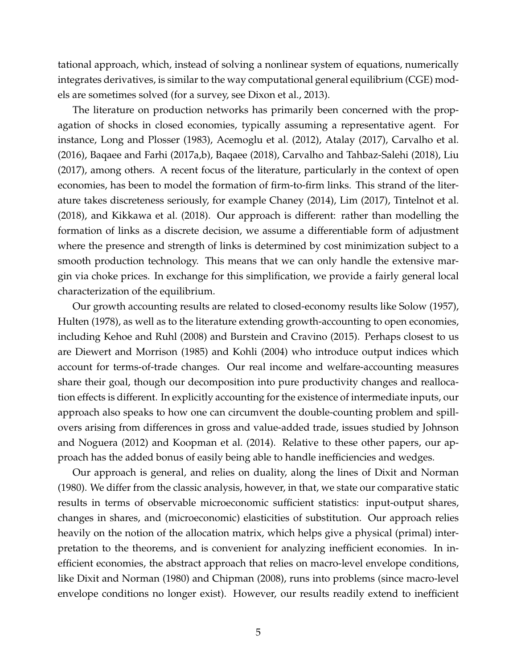tational approach, which, instead of solving a nonlinear system of equations, numerically integrates derivatives, is similar to the way computational general equilibrium (CGE) models are sometimes solved (for a survey, see [Dixon et al., 2013\)](#page-44-10).

The literature on production networks has primarily been concerned with the propagation of shocks in closed economies, typically assuming a representative agent. For instance, [Long and Plosser](#page-45-7) [\(1983\)](#page-45-7), [Acemoglu et al.](#page-43-7) [\(2012\)](#page-43-7), [Atalay](#page-43-8) [\(2017\)](#page-43-8), [Carvalho et al.](#page-44-11) [\(2016\)](#page-44-11), [Baqaee and Farhi](#page-43-9) [\(2017a,](#page-43-9)[b\)](#page-43-10), [Baqaee](#page-43-11) [\(2018\)](#page-43-11), [Carvalho and Tahbaz-Salehi](#page-44-12) [\(2018\)](#page-44-12), [Liu](#page-45-8) [\(2017\)](#page-45-8), among others. A recent focus of the literature, particularly in the context of open economies, has been to model the formation of firm-to-firm links. This strand of the literature takes discreteness seriously, for example [Chaney](#page-44-13) [\(2014\)](#page-44-13), [Lim](#page-45-9) [\(2017\)](#page-45-9), [Tintelnot et al.](#page-45-10) [\(2018\)](#page-45-10), and [Kikkawa et al.](#page-45-11) [\(2018\)](#page-45-11). Our approach is different: rather than modelling the formation of links as a discrete decision, we assume a differentiable form of adjustment where the presence and strength of links is determined by cost minimization subject to a smooth production technology. This means that we can only handle the extensive margin via choke prices. In exchange for this simplification, we provide a fairly general local characterization of the equilibrium.

Our growth accounting results are related to closed-economy results like [Solow](#page-45-0) [\(1957\)](#page-45-0), [Hulten](#page-44-14) [\(1978\)](#page-44-14), as well as to the literature extending growth-accounting to open economies, including [Kehoe and Ruhl](#page-45-12) [\(2008\)](#page-45-12) and [Burstein and Cravino](#page-44-15) [\(2015\)](#page-44-15). Perhaps closest to us are [Diewert and Morrison](#page-44-16) [\(1985\)](#page-44-16) and [Kohli](#page-45-13) [\(2004\)](#page-45-13) who introduce output indices which account for terms-of-trade changes. Our real income and welfare-accounting measures share their goal, though our decomposition into pure productivity changes and reallocation effects is different. In explicitly accounting for the existence of intermediate inputs, our approach also speaks to how one can circumvent the double-counting problem and spillovers arising from differences in gross and value-added trade, issues studied by [Johnson](#page-45-14) [and Noguera](#page-45-14) [\(2012\)](#page-45-14) and [Koopman et al.](#page-45-15) [\(2014\)](#page-45-15). Relative to these other papers, our approach has the added bonus of easily being able to handle inefficiencies and wedges.

Our approach is general, and relies on duality, along the lines of [Dixit and Norman](#page-44-17) [\(1980\)](#page-44-17). We differ from the classic analysis, however, in that, we state our comparative static results in terms of observable microeconomic sufficient statistics: input-output shares, changes in shares, and (microeconomic) elasticities of substitution. Our approach relies heavily on the notion of the allocation matrix, which helps give a physical (primal) interpretation to the theorems, and is convenient for analyzing inefficient economies. In inefficient economies, the abstract approach that relies on macro-level envelope conditions, like [Dixit and Norman](#page-44-17) [\(1980\)](#page-44-17) and [Chipman](#page-44-18) [\(2008\)](#page-44-18), runs into problems (since macro-level envelope conditions no longer exist). However, our results readily extend to inefficient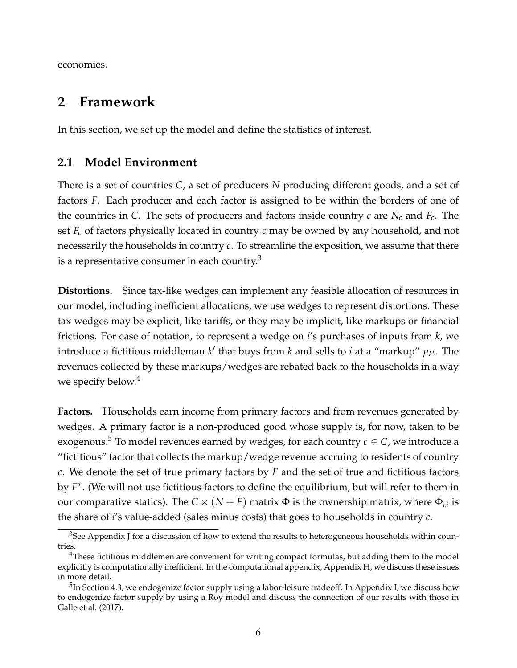economies.

# <span id="page-6-0"></span>**2 Framework**

In this section, we set up the model and define the statistics of interest.

## **2.1 Model Environment**

There is a set of countries *C*, a set of producers *N* producing different goods, and a set of factors *F*. Each producer and each factor is assigned to be within the borders of one of the countries in *C*. The sets of producers and factors inside country *c* are *N<sup>c</sup>* and *Fc*. The set *F<sup>c</sup>* of factors physically located in country *c* may be owned by any household, and not necessarily the households in country *c*. To streamline the exposition, we assume that there is a representative consumer in each country. $3$ 

**Distortions.** Since tax-like wedges can implement any feasible allocation of resources in our model, including inefficient allocations, we use wedges to represent distortions. These tax wedges may be explicit, like tariffs, or they may be implicit, like markups or financial frictions. For ease of notation, to represent a wedge on *i*'s purchases of inputs from *k*, we introduce a fictitious middleman  $k'$  that buys from  $k$  and sells to *i* at a "markup"  $\mu_{k'}$ . The revenues collected by these markups/wedges are rebated back to the households in a way we specify below.<sup>[4](#page-6-2)</sup>

**Factors.** Households earn income from primary factors and from revenues generated by wedges. A primary factor is a non-produced good whose supply is, for now, taken to be exogenous.<sup>[5](#page-6-3)</sup> To model revenues earned by wedges, for each country  $c \in C$ , we introduce a "fictitious" factor that collects the markup/wedge revenue accruing to residents of country *c*. We denote the set of true primary factors by *F* and the set of true and fictitious factors by *F* ∗ . (We will not use fictitious factors to define the equilibrium, but will refer to them in our comparative statics). The  $C \times (N + F)$  matrix  $\Phi$  is the ownership matrix, where  $\Phi_{ci}$  is the share of *i*'s value-added (sales minus costs) that goes to households in country *c*.

<span id="page-6-1"></span><sup>&</sup>lt;sup>3</sup>See Appendix J for a discussion of how to extend the results to heterogeneous households within countries.

<span id="page-6-2"></span> $4$ These fictitious middlemen are convenient for writing compact formulas, but adding them to the model explicitly is computationally inefficient. In the computational appendix, Appendix H, we discuss these issues in more detail.

<span id="page-6-3"></span> $^5$ In Section [4.3,](#page-22-0) we endogenize factor supply using a labor-leisure tradeoff. In Appendix I, we discuss how to endogenize factor supply by using a Roy model and discuss the connection of our results with those in [Galle et al.](#page-44-9) [\(2017\)](#page-44-9).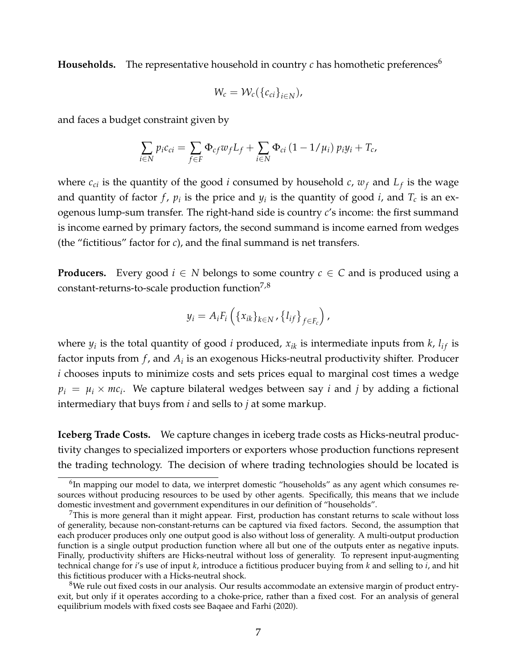**Households.** The representative household in country  $c$  has homothetic preferences<sup>[6](#page-7-0)</sup>

$$
W_c = \mathcal{W}_c(\{c_{ci}\}_{i \in N}),
$$

and faces a budget constraint given by

$$
\sum_{i\in N} p_i c_{ci} = \sum_{f\in F} \Phi_{cf} w_f L_f + \sum_{i\in N} \Phi_{ci} (1 - 1/\mu_i) p_i y_i + T_c,
$$

where  $c_{ci}$  is the quantity of the good *i* consumed by household  $c$ ,  $w_f$  and  $L_f$  is the wage and quantity of factor  $f$ ,  $p_i$  is the price and  $y_i$  is the quantity of good *i*, and  $T_c$  is an exogenous lump-sum transfer. The right-hand side is country *c*'s income: the first summand is income earned by primary factors, the second summand is income earned from wedges (the "fictitious" factor for *c*), and the final summand is net transfers.

**Producers.** Every good  $i \in N$  belongs to some country  $c \in C$  and is produced using a constant-returns-to-scale production function $7.8$  $7.8$ 

$$
y_i = A_i F_i \left( \{x_{ik}\}_{k \in N}, \{l_{if}\}_{f \in F_c} \right),
$$

where  $y_i$  is the total quantity of good *i* produced,  $x_{ik}$  is intermediate inputs from  $k$ ,  $l_{if}$  is factor inputs from *f* , and *A<sup>i</sup>* is an exogenous Hicks-neutral productivity shifter. Producer *i* chooses inputs to minimize costs and sets prices equal to marginal cost times a wedge  $p_i = \mu_i \times mc_i$ . We capture bilateral wedges between say *i* and *j* by adding a fictional intermediary that buys from *i* and sells to *j* at some markup.

**Iceberg Trade Costs.** We capture changes in iceberg trade costs as Hicks-neutral productivity changes to specialized importers or exporters whose production functions represent the trading technology. The decision of where trading technologies should be located is

<span id="page-7-0"></span> ${}^{6}$ In mapping our model to data, we interpret domestic "households" as any agent which consumes resources without producing resources to be used by other agents. Specifically, this means that we include domestic investment and government expenditures in our definition of "households".

<span id="page-7-1"></span> $<sup>7</sup>$ This is more general than it might appear. First, production has constant returns to scale without loss</sup> of generality, because non-constant-returns can be captured via fixed factors. Second, the assumption that each producer produces only one output good is also without loss of generality. A multi-output production function is a single output production function where all but one of the outputs enter as negative inputs. Finally, productivity shifters are Hicks-neutral without loss of generality. To represent input-augmenting technical change for *i*'s use of input *k*, introduce a fictitious producer buying from *k* and selling to *i*, and hit this fictitious producer with a Hicks-neutral shock.

<span id="page-7-2"></span><sup>&</sup>lt;sup>8</sup>We rule out fixed costs in our analysis. Our results accommodate an extensive margin of product entryexit, but only if it operates according to a choke-price, rather than a fixed cost. For an analysis of general equilibrium models with fixed costs see [Baqaee and Farhi](#page-43-12) [\(2020\)](#page-43-12).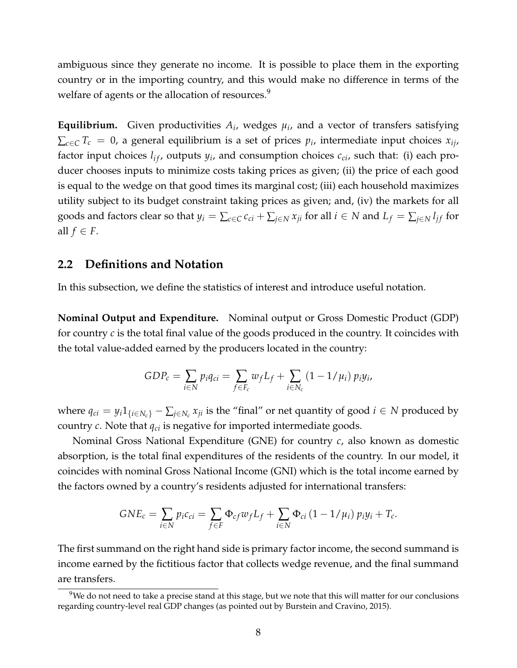ambiguous since they generate no income. It is possible to place them in the exporting country or in the importing country, and this would make no difference in terms of the welfare of agents or the allocation of resources.<sup>[9](#page-8-0)</sup>

**Equilibrium.** Given productivities  $A_i$ , wedges  $\mu_i$ , and a vector of transfers satisfying  $\sum_{c \in C} T_c = 0$ , a general equilibrium is a set of prices  $p_i$ , intermediate input choices  $x_{ij}$ , factor input choices  $l_{if}$ , outputs  $y_i$ , and consumption choices  $c_{ci}$ , such that: (i) each producer chooses inputs to minimize costs taking prices as given; (ii) the price of each good is equal to the wedge on that good times its marginal cost; (iii) each household maximizes utility subject to its budget constraint taking prices as given; and, (iv) the markets for all goods and factors clear so that  $y_i = \sum_{c \in C} c_{ci} + \sum_{j \in N} x_{ji}$  for all  $i \in N$  and  $L_f = \sum_{j \in N} l_{if}$  for all  $f \in F$ .

### **2.2 Definitions and Notation**

In this subsection, we define the statistics of interest and introduce useful notation.

**Nominal Output and Expenditure.** Nominal output or Gross Domestic Product (GDP) for country *c* is the total final value of the goods produced in the country. It coincides with the total value-added earned by the producers located in the country:

$$
GDP_c = \sum_{i \in N} p_i q_{ci} = \sum_{f \in F_c} w_f L_f + \sum_{i \in N_c} (1 - 1/\mu_i) p_i y_i,
$$

where  $q_{ci} = y_i 1_{\{i \in N_c\}} - \sum_{j \in N_c} x_{ji}$  is the "final" or net quantity of good  $i \in N$  produced by country *c*. Note that *qci* is negative for imported intermediate goods.

Nominal Gross National Expenditure (GNE) for country *c*, also known as domestic absorption, is the total final expenditures of the residents of the country. In our model, it coincides with nominal Gross National Income (GNI) which is the total income earned by the factors owned by a country's residents adjusted for international transfers:

$$
GNE_c = \sum_{i \in N} p_i c_{ci} = \sum_{f \in F} \Phi_{cf} w_f L_f + \sum_{i \in N} \Phi_{ci} (1 - 1/\mu_i) p_i y_i + T_c.
$$

The first summand on the right hand side is primary factor income, the second summand is income earned by the fictitious factor that collects wedge revenue, and the final summand are transfers.

<span id="page-8-0"></span> $9$ We do not need to take a precise stand at this stage, but we note that this will matter for our conclusions regarding country-level real GDP changes (as pointed out by [Burstein and Cravino, 2015\)](#page-44-15).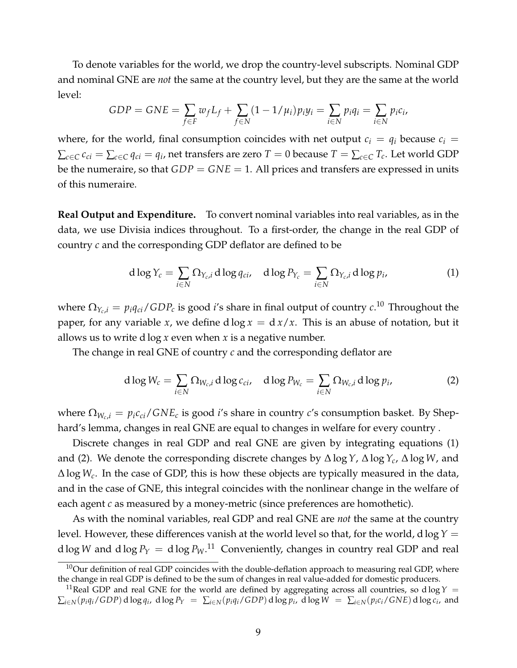To denote variables for the world, we drop the country-level subscripts. Nominal GDP and nominal GNE are *not* the same at the country level, but they are the same at the world level:

$$
GDP = GNE = \sum_{f \in F} w_f L_f + \sum_{f \in N} (1 - 1/\mu_i) p_i y_i = \sum_{i \in N} p_i q_i = \sum_{i \in N} p_i c_i,
$$

where, for the world, final consumption coincides with net output  $c_i = q_i$  because  $c_i =$  $\sum_{c\in C} c_{ci} = \sum_{c\in C} q_{ci} = q_i$ , net transfers are zero  $T=0$  because  $T=\sum_{c\in C} T_c.$  Let world GDP be the numeraire, so that *GDP* = *GNE* = 1. All prices and transfers are expressed in units of this numeraire.

**Real Output and Expenditure.** To convert nominal variables into real variables, as in the data, we use Divisia indices throughout. To a first-order, the change in the real GDP of country *c* and the corresponding GDP deflator are defined to be

<span id="page-9-1"></span>
$$
d \log Y_c = \sum_{i \in N} \Omega_{Y_c, i} d \log q_{ci}, \quad d \log P_{Y_c} = \sum_{i \in N} \Omega_{Y_c, i} d \log p_i,
$$
 (1)

where  $\Omega_{Y_c,i} = p_i q_{ci}/GDP_c$  is good *i'*s share in final output of country  $c.^{10}$  $c.^{10}$  $c.^{10}$  Throughout the paper, for any variable *x*, we define  $d \log x = d \frac{x}{x}$ . This is an abuse of notation, but it allows us to write d log *x* even when *x* is a negative number.

The change in real GNE of country *c* and the corresponding deflator are

<span id="page-9-2"></span>
$$
d \log W_c = \sum_{i \in N} \Omega_{W_c, i} d \log c_{ci}, \quad d \log P_{W_c} = \sum_{i \in N} \Omega_{W_c, i} d \log p_i,
$$
 (2)

where  $\Omega_{W_c,i} = p_i c_{ci}/GNE_c$  is good *i*'s share in country *c*'s consumption basket. By Shephard's lemma, changes in real GNE are equal to changes in welfare for every country .

Discrete changes in real GDP and real GNE are given by integrating equations [\(1\)](#page-9-1) and [\(2\)](#page-9-2). We denote the corresponding discrete changes by ∆ log*Y*, ∆ log*Yc*, ∆ log *W*, and ∆ log *Wc*. In the case of GDP, this is how these objects are typically measured in the data, and in the case of GNE, this integral coincides with the nonlinear change in the welfare of each agent *c* as measured by a money-metric (since preferences are homothetic).

As with the nominal variables, real GDP and real GNE are *not* the same at the country level. However, these differences vanish at the world level so that, for the world, d log*Y* =  $d \log W$  and  $d \log P_Y = d \log P_W$ .<sup>[11](#page-9-3)</sup> Conveniently, changes in country real GDP and real

<span id="page-9-0"></span> $10$ Our definition of real GDP coincides with the double-deflation approach to measuring real GDP, where the change in real GDP is defined to be the sum of changes in real value-added for domestic producers.

<span id="page-9-3"></span><sup>&</sup>lt;sup>11</sup>Real GDP and real GNE for the world are defined by aggregating across all countries, so d log  $Y =$  $\sum_{i\in N}(p_iq_i/GDP)$  d log  $q_i$ , d log  $P_Y = \sum_{i\in N}(p_iq_i/GDP)$  d log  $p_i$ , d log  $W = \sum_{i\in N}(p_i c_i/GNE)$  d log  $c_i$ , and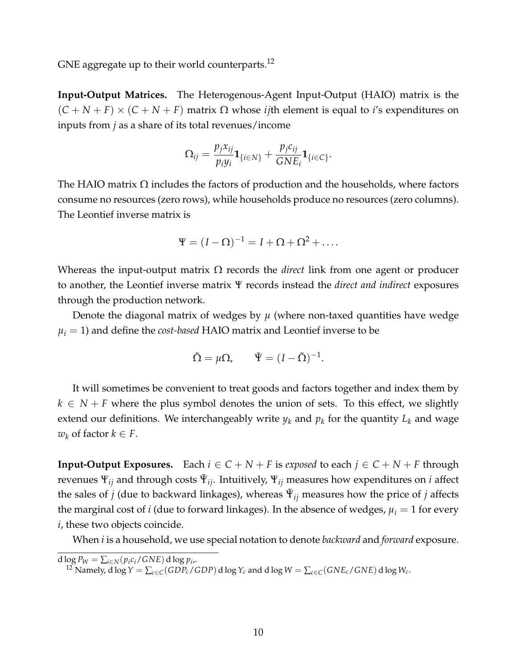GNE aggregate up to their world counterparts.<sup>[12](#page-10-0)</sup>

**Input-Output Matrices.** The Heterogenous-Agent Input-Output (HAIO) matrix is the  $(C + N + F) \times (C + N + F)$  matrix  $\Omega$  whose *i j*th element is equal to *i*'s expenditures on inputs from *j* as a share of its total revenues/income

$$
\Omega_{ij} = \frac{p_j x_{ij}}{p_i y_i} \mathbf{1}_{\{i \in N\}} + \frac{p_j c_{ij}}{G N E_i} \mathbf{1}_{\{i \in C\}}.
$$

The HAIO matrix  $\Omega$  includes the factors of production and the households, where factors consume no resources (zero rows), while households produce no resources (zero columns). The Leontief inverse matrix is

$$
\Psi = (I - \Omega)^{-1} = I + \Omega + \Omega^2 + \dots
$$

Whereas the input-output matrix Ω records the *direct* link from one agent or producer to another, the Leontief inverse matrix Ψ records instead the *direct and indirect* exposures through the production network.

Denote the diagonal matrix of wedges by  $\mu$  (where non-taxed quantities have wedge  $\mu_i = 1$ ) and define the *cost-based* HAIO matrix and Leontief inverse to be

$$
\tilde{\Omega} = \mu \Omega, \qquad \tilde{\Psi} = (I - \tilde{\Omega})^{-1}.
$$

It will sometimes be convenient to treat goods and factors together and index them by  $k \in N + F$  where the plus symbol denotes the union of sets. To this effect, we slightly extend our definitions. We interchangeably write  $y_k$  and  $p_k$  for the quantity  $L_k$  and wage *w*<sup>*k*</sup> of factor *k* ∈ *F*.

**Input-Output Exposures.** Each  $i \in C + N + F$  is *exposed* to each  $j \in C + N + F$  through revenues  $\Psi_{ij}$  and through costs  $\tilde{\Psi}_{ij}$ . Intuitively,  $\Psi_{ij}$  measures how expenditures on *i* affect the sales of *j* (due to backward linkages), whereas  $\tilde{\Psi}_{ij}$  measures how the price of *j* affects the marginal cost of *i* (due to forward linkages). In the absence of wedges,  $\mu_i = 1$  for every *i*, these two objects coincide.

When *i* is a household, we use special notation to denote *backward* and *forward* exposure.

d  $\log P_W = \sum_{i \in N} (p_i c_i / GNE)$  d  $\log p_i$ ,

<span id="page-10-0"></span> $^{12}$  Namely, d log  $Y = \sum_{c \in C} (GDP_c/GDP)$  d log  $Y_c$  and d log  $W = \sum_{c \in C} (GNE_c/GNE)$  d log  $W_c$ .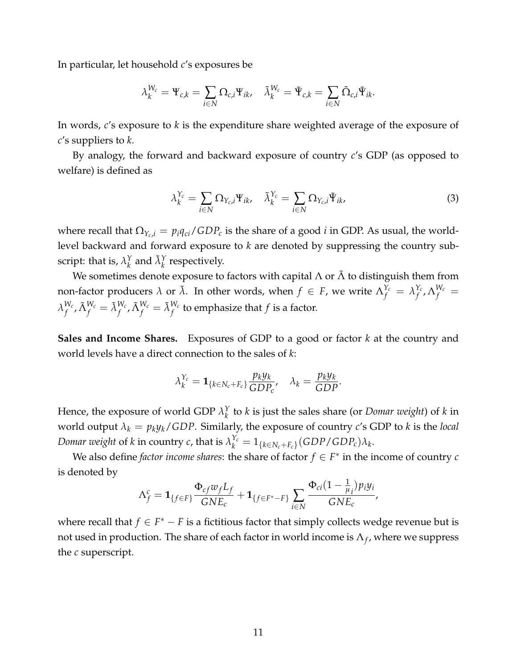In particular, let household *c*'s exposures be

$$
\lambda_k^{W_c} = \Psi_{c,k} = \sum_{i \in N} \Omega_{c,i} \Psi_{ik}, \quad \tilde{\lambda}_k^{W_c} = \tilde{\Psi}_{c,k} = \sum_{i \in N} \tilde{\Omega}_{c,i} \tilde{\Psi}_{ik}.
$$

In words, *c*'s exposure to *k* is the expenditure share weighted average of the exposure of *c*'s suppliers to *k*.

By analogy, the forward and backward exposure of country *c*'s GDP (as opposed to welfare) is defined as

<span id="page-11-0"></span>
$$
\lambda_k^{\Upsilon_c} = \sum_{i \in N} \Omega_{\Upsilon_c, i} \Psi_{ik}, \quad \tilde{\lambda}_k^{\Upsilon_c} = \sum_{i \in N} \Omega_{\Upsilon_c, i} \tilde{\Psi}_{ik}, \tag{3}
$$

where recall that  $\Omega_{Y_c,i} = p_i q_{ci}/GDP_c$  is the share of a good *i* in GDP. As usual, the worldlevel backward and forward exposure to *k* are denoted by suppressing the country subscript: that is,  $\lambda_k^{\gamma}$  $\chi_k^Y$  and  $\tilde{\lambda}_k^Y$  respectively.

We sometimes denote exposure to factors with capital  $\Lambda$  or  $\tilde{\Lambda}$  to distinguish them from non-factor producers  $\lambda$  or  $\tilde{\lambda}$ . In other words, when  $f \in F$ , we write  $\Lambda_f^{Y_c} = \lambda_f^{Y_c}$  $_{f}^{Y_{c}}$ ,  $\Lambda_{f}^{W_{c}}=$  $\lambda_f^{W_c}$  $f^{W_c}_f$  ,  $\tilde{\Lambda}^{W_c}_f$  ,  $\tilde{\Lambda}^{W_c}_f=\tilde{\lambda}^{W_c}_f$  to emphasize that  $f$  is a factor.

**Sales and Income Shares.** Exposures of GDP to a good or factor *k* at the country and world levels have a direct connection to the sales of *k*:

$$
\lambda_k^{Y_c} = \mathbf{1}_{\{k \in N_c + F_c\}} \frac{p_k y_k}{GDP_c}, \quad \lambda_k = \frac{p_k y_k}{GDP}.
$$

Hence, the exposure of world GDP  $\lambda_k^Y$ *k* to *k* is just the sales share (or *Domar weight*) of *k* in world output  $\lambda_k = p_k y_k / GDP$ . Similarly, the exposure of country *c*'s GDP to *k* is the *local Domar weight* of *k* in country *c*, that is  $\lambda_k^{Y_c} = 1_{\{k \in N_c + F_c\}} (GDP/GDP_c) \lambda_k$ .

We also define *factor income shares*: the share of factor  $f \in F^*$  in the income of country *c* is denoted by

$$
\Lambda_f^c = \mathbf{1}_{\{f \in F\}} \frac{\Phi_{cf} w_f L_f}{GNE_c} + \mathbf{1}_{\{f \in F^* - F\}} \sum_{i \in N} \frac{\Phi_{ci} (1 - \frac{1}{\mu_i}) p_i y_i}{GNE_c},
$$

where recall that  $f \in F^* - F$  is a fictitious factor that simply collects wedge revenue but is not used in production. The share of each factor in world income is  $\Lambda_f$ , where we suppress the *c* superscript.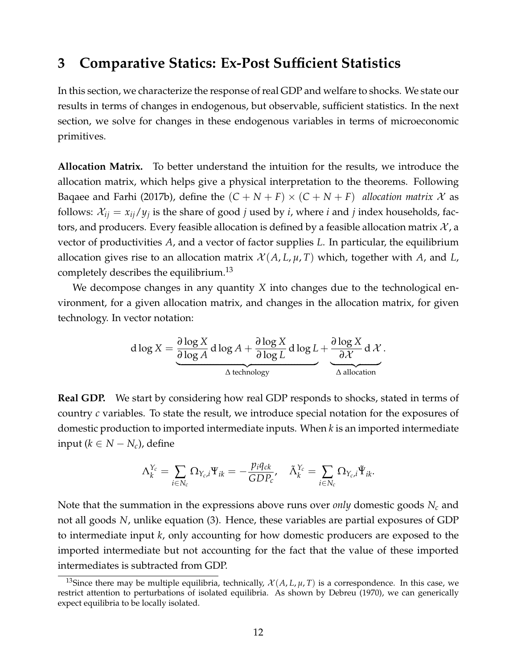## <span id="page-12-0"></span>**3 Comparative Statics: Ex-Post Sufficient Statistics**

In this section, we characterize the response of real GDP and welfare to shocks. We state our results in terms of changes in endogenous, but observable, sufficient statistics. In the next section, we solve for changes in these endogenous variables in terms of microeconomic primitives.

**Allocation Matrix.** To better understand the intuition for the results, we introduce the allocation matrix, which helps give a physical interpretation to the theorems. Following [Baqaee and Farhi](#page-43-10) [\(2017b\)](#page-43-10), define the  $(C + N + F) \times (C + N + F)$  *allocation matrix* X as follows:  $\mathcal{X}_{ij} = x_{ij}/y_j$  is the share of good *j* used by *i*, where *i* and *j* index households, factors, and producers. Every feasible allocation is defined by a feasible allocation matrix  $\mathcal{X}$ , a vector of productivities *A*, and a vector of factor supplies *L*. In particular, the equilibrium allocation gives rise to an allocation matrix  $\mathcal{X}(A, L, \mu, T)$  which, together with A, and L, completely describes the equilibrium.[13](#page-12-1)

We decompose changes in any quantity *X* into changes due to the technological environment, for a given allocation matrix, and changes in the allocation matrix, for given technology. In vector notation:

$$
d \log X = \underbrace{\frac{\partial \log X}{\partial \log A} d \log A + \frac{\partial \log X}{\partial \log L} d \log L}_{\Delta \text{ technology}} + \underbrace{\frac{\partial \log X}{\partial X} d \mathcal{X}}_{\Delta \text{ allocation}}.
$$

<span id="page-12-2"></span>**Real GDP.** We start by considering how real GDP responds to shocks, stated in terms of country *c* variables. To state the result, we introduce special notation for the exposures of domestic production to imported intermediate inputs. When *k* is an imported intermediate input (*k* ∈ *N* − *Nc*), define

$$
\Lambda_k^{\Upsilon_c} = \sum_{i \in N_c} \Omega_{Y_c,i} \Psi_{ik} = -\frac{p_i q_{ck}}{GDP_c}, \quad \tilde{\Lambda}_k^{\Upsilon_c} = \sum_{i \in N_c} \Omega_{Y_c,i} \tilde{\Psi}_{ik}.
$$

Note that the summation in the expressions above runs over *only* domestic goods *N<sup>c</sup>* and not all goods *N*, unlike equation [\(3\)](#page-11-0). Hence, these variables are partial exposures of GDP to intermediate input *k*, only accounting for how domestic producers are exposed to the imported intermediate but not accounting for the fact that the value of these imported intermediates is subtracted from GDP.

<span id="page-12-1"></span><sup>&</sup>lt;sup>13</sup>Since there may be multiple equilibria, technically,  $\mathcal{X}(A, L, \mu, T)$  is a correspondence. In this case, we restrict attention to perturbations of isolated equilibria. As shown by [Debreu](#page-44-19) [\(1970\)](#page-44-19), we can generically expect equilibria to be locally isolated.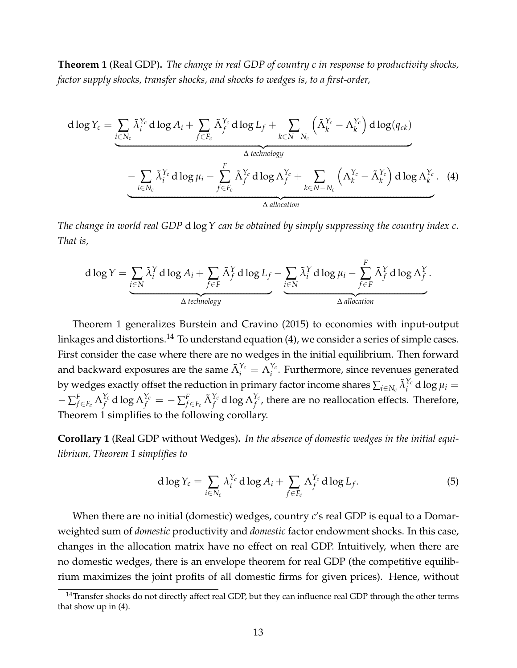<span id="page-13-0"></span>**Theorem 1** (Real GDP)**.** *The change in real GDP of country c in response to productivity shocks, factor supply shocks, transfer shocks, and shocks to wedges is, to a first-order,*

d log 
$$
Y_c
$$
 = 
$$
\underbrace{\sum_{i \in N_c} \tilde{\lambda}_i^{Y_c} d \log A_i}_{\Delta \text{ technology}} + \underbrace{\sum_{k \in N - N_c} \tilde{\Lambda}_f^{Y_c} d \log L_f}_{\Delta \text{ technology}} + \underbrace{\sum_{i \in N_c} \tilde{\lambda}_i^{Y_c} d \log \mu_i - \sum_{f \in F_c} \tilde{\Lambda}_f^{Y_c} d \log \Lambda_f^{Y_c}}_{\Delta \text{ allocation}} + \underbrace{\sum_{k \in N - N_c} \left( \Lambda_k^{Y_c} - \tilde{\Lambda}_k^{Y_c} \right) d \log \Lambda_k^{Y_c}}_{\Delta \text{ allocation}}.
$$
 (4)

*The change in world real GDP* d log*Y can be obtained by simply suppressing the country index c. That is,*

<span id="page-13-2"></span>
$$
d \log Y = \underbrace{\sum_{i \in N} \tilde{\lambda}_i^Y d \log A_i}_{\Delta \text{ technology}} + \underbrace{\sum_{f \in F} \tilde{\Lambda}_f^Y d \log L_f}_{\Delta \text{ technology}} - \underbrace{\sum_{i \in N} \tilde{\lambda}_i^Y d \log \mu_i}_{\Delta \text{ allocation}} - \underbrace{\sum_{f \in F} \tilde{\Lambda}_f^Y d \log \Lambda_f^Y}_{\Delta \text{ allocation}}.
$$

Theorem [1](#page-13-0) generalizes [Burstein and Cravino](#page-44-15) [\(2015\)](#page-44-15) to economies with input-output linkages and distortions.<sup>[14](#page-13-1)</sup> To understand equation  $(4)$ , we consider a series of simple cases. First consider the case where there are no wedges in the initial equilibrium. Then forward and backward exposures are the same  $\tilde{\Lambda}^{Y_c}_i = \Lambda^{Y_c}_i$ <sup>*Ic*</sup>. Furthermore, since revenues generated by wedges exactly offset the reduction in primary factor income shares  $\sum_{i\in N_c}\tilde{\lambda}_i^{Y_c}$  d log  $\mu_i=$  $-\sum_{f\in F_c}^F \Lambda_f^{Y_c}$  $\sum_{f}^{Y_{c}}$  d log  $\Lambda_{f}^{Y_{c}} = -\sum_{f \in F_{c}}^{F} \tilde{\Lambda}_{f}^{Y_{c}}$  d log  $\Lambda_{f}^{Y_{c}}$  $f_f^{I_c}$ , there are no reallocation effects. Therefore, Theorem [1](#page-13-0) simplifies to the following corollary.

<span id="page-13-4"></span>**Corollary 1** (Real GDP without Wedges)**.** *In the absence of domestic wedges in the initial equilibrium, Theorem [1](#page-13-0) simplifies to*

<span id="page-13-3"></span>
$$
d \log Y_c = \sum_{i \in N_c} \lambda_i^{Y_c} d \log A_i + \sum_{f \in F_c} \Lambda_f^{Y_c} d \log L_f.
$$
 (5)

When there are no initial (domestic) wedges, country *c*'s real GDP is equal to a Domarweighted sum of *domestic* productivity and *domestic* factor endowment shocks. In this case, changes in the allocation matrix have no effect on real GDP. Intuitively, when there are no domestic wedges, there is an envelope theorem for real GDP (the competitive equilibrium maximizes the joint profits of all domestic firms for given prices). Hence, without

<span id="page-13-1"></span><sup>&</sup>lt;sup>14</sup>Transfer shocks do not directly affect real GDP, but they can influence real GDP through the other terms that show up in [\(4\)](#page-13-2).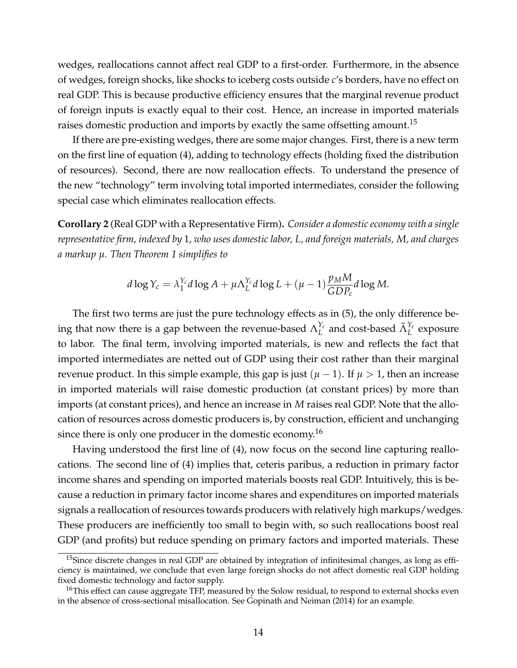wedges, reallocations cannot affect real GDP to a first-order. Furthermore, in the absence of wedges, foreign shocks, like shocks to iceberg costs outside *c*'s borders, have no effect on real GDP. This is because productive efficiency ensures that the marginal revenue product of foreign inputs is exactly equal to their cost. Hence, an increase in imported materials raises domestic production and imports by exactly the same offsetting amount.<sup>[15](#page-14-0)</sup>

If there are pre-existing wedges, there are some major changes. First, there is a new term on the first line of equation [\(4\)](#page-13-2), adding to technology effects (holding fixed the distribution of resources). Second, there are now reallocation effects. To understand the presence of the new "technology" term involving total imported intermediates, consider the following special case which eliminates reallocation effects.

**Corollary 2** (Real GDP with a Representative Firm)**.** *Consider a domestic economy with a single representative firm, indexed by* 1*, who uses domestic labor, L, and foreign materials, M, and charges a markup µ. Then Theorem [1](#page-13-0) simplifies to*

$$
d \log Y_c = \lambda_1^{Y_c} d \log A + \mu \Lambda_L^{Y_c} d \log L + (\mu - 1) \frac{p_M M}{GDP_c} d \log M.
$$

The first two terms are just the pure technology effects as in [\(5\)](#page-13-3), the only difference being that now there is a gap between the revenue-based  $\Lambda_L^{Y_c}$  $L^{\gamma_c}$  and cost-based  $\tilde{\Lambda}^{\gamma_c}_L$  exposure to labor. The final term, involving imported materials, is new and reflects the fact that imported intermediates are netted out of GDP using their cost rather than their marginal revenue product. In this simple example, this gap is just  $(\mu - 1)$ . If  $\mu > 1$ , then an increase in imported materials will raise domestic production (at constant prices) by more than imports (at constant prices), and hence an increase in *M* raises real GDP. Note that the allocation of resources across domestic producers is, by construction, efficient and unchanging since there is only one producer in the domestic economy.<sup>[16](#page-14-1)</sup>

Having understood the first line of [\(4\)](#page-13-2), now focus on the second line capturing reallocations. The second line of [\(4\)](#page-13-2) implies that, ceteris paribus, a reduction in primary factor income shares and spending on imported materials boosts real GDP. Intuitively, this is because a reduction in primary factor income shares and expenditures on imported materials signals a reallocation of resources towards producers with relatively high markups/wedges. These producers are inefficiently too small to begin with, so such reallocations boost real GDP (and profits) but reduce spending on primary factors and imported materials. These

<span id="page-14-0"></span> $15$ Since discrete changes in real GDP are obtained by integration of infinitesimal changes, as long as efficiency is maintained, we conclude that even large foreign shocks do not affect domestic real GDP holding fixed domestic technology and factor supply.

<span id="page-14-1"></span> $^{16}$ This effect can cause aggregate TFP, measured by the Solow residual, to respond to external shocks even in the absence of cross-sectional misallocation. See [Gopinath and Neiman](#page-44-20) [\(2014\)](#page-44-20) for an example.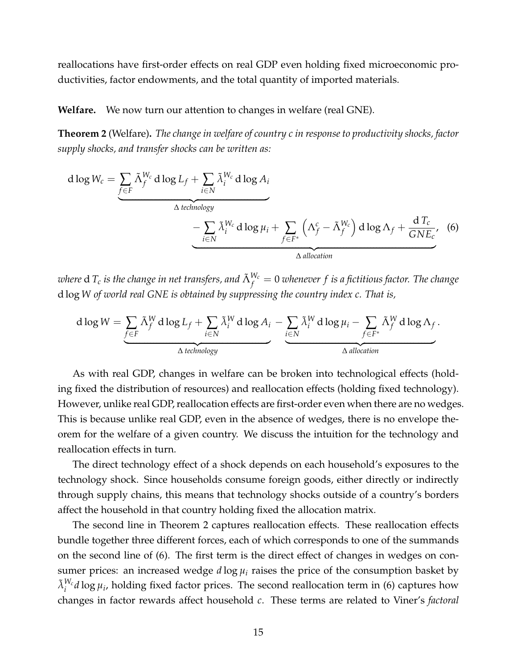reallocations have first-order effects on real GDP even holding fixed microeconomic productivities, factor endowments, and the total quantity of imported materials.

#### **Welfare.** We now turn our attention to changes in welfare (real GNE).

<span id="page-15-0"></span>**Theorem 2** (Welfare)**.** *The change in welfare of country c in response to productivity shocks, factor supply shocks, and transfer shocks can be written as:*

<span id="page-15-1"></span>d log 
$$
W_c = \underbrace{\sum_{f \in F} \tilde{\Lambda}_f^{W_c} d \log L_f + \sum_{i \in N} \tilde{\lambda}_i^{W_c} d \log A_i}_{\Delta \text{ technology}}
$$
  
\n
$$
- \underbrace{\sum_{i \in N} \tilde{\lambda}_i^{W_c} d \log \mu_i + \sum_{f \in F^*} (\Lambda_f^c - \tilde{\Lambda}_f^{W_c}) d \log \Lambda_f + \frac{d T_c}{G N E_c}}_{\Delta \text{ allocation}}
$$
 (6)

 $\omega$ here  ${\rm d}$   $T_c$  *is the change in net transfers, and*  $\tilde{\Lambda}^{W_c}_f = 0$  *whenever*  $f$  *is a fictitious factor. The change* d log *W of world real GNE is obtained by suppressing the country index c. That is,*

$$
d \log W = \underbrace{\sum_{f \in F} \tilde{\Lambda}_f^W d \log L_f}_{\Delta \text{ technology}} + \underbrace{\sum_{i \in N} \tilde{\lambda}_i^W d \log A_i}_{\Delta \text{ technology}} - \underbrace{\sum_{i \in N} \tilde{\lambda}_i^W d \log \mu_i}_{\Delta \text{ allocation}} - \underbrace{\sum_{f \in F^*} \tilde{\Lambda}_f^W d \log \Lambda_f}_{\Delta \text{ allocation}}.
$$

As with real GDP, changes in welfare can be broken into technological effects (holding fixed the distribution of resources) and reallocation effects (holding fixed technology). However, unlike real GDP, reallocation effects are first-order even when there are no wedges. This is because unlike real GDP, even in the absence of wedges, there is no envelope theorem for the welfare of a given country. We discuss the intuition for the technology and reallocation effects in turn.

The direct technology effect of a shock depends on each household's exposures to the technology shock. Since households consume foreign goods, either directly or indirectly through supply chains, this means that technology shocks outside of a country's borders affect the household in that country holding fixed the allocation matrix.

The second line in Theorem [2](#page-15-0) captures reallocation effects. These reallocation effects bundle together three different forces, each of which corresponds to one of the summands on the second line of [\(6\)](#page-15-1). The first term is the direct effect of changes in wedges on consumer prices: an increased wedge  $d \log \mu_i$  raises the price of the consumption basket by  $\tilde{\lambda}^{W_c}_i d \log \mu_i$ , holding fixed factor prices. The second reallocation term in [\(6\)](#page-15-1) captures how changes in factor rewards affect household *c*. These terms are related to [Viner'](#page-45-3)s *factoral*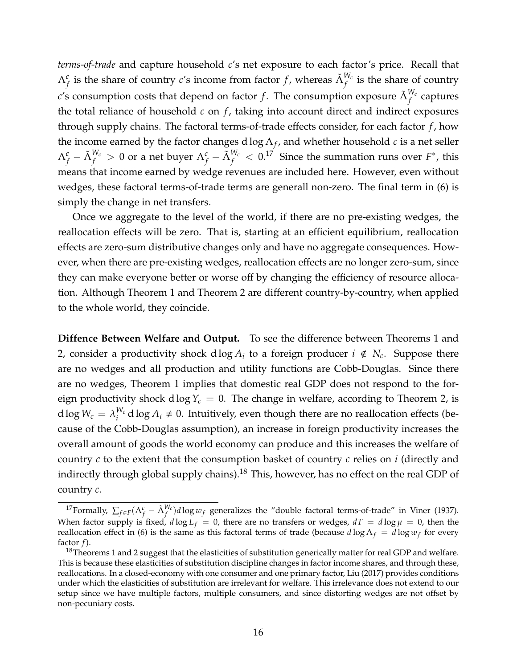*terms-of-trade* and capture household *c*'s net exposure to each factor's price. Recall that  $\Lambda_f^c$  is the share of country *c*'s income from factor *f* , whereas  $\tilde{\Lambda}_f^{W_c}$  is the share of country  $c$ 's consumption costs that depend on factor  $f$ . The consumption exposure  $\tilde{\Lambda}^{W_{c}}_{f}$  captures the total reliance of household *c* on *f*, taking into account direct and indirect exposures through supply chains. The factoral terms-of-trade effects consider, for each factor *f* , how the income earned by the factor changes d  $\log \Lambda_f$ , and whether household *c* is a net seller  $\Lambda_f^c-\tilde{\Lambda}_f^{W_c}>0$  or a net buyer  $\Lambda_f^c-\tilde{\Lambda}_f^{W_c}< 0.1^7~$  Since the summation runs over  $F^*$ , this means that income earned by wedge revenues are included here. However, even without wedges, these factoral terms-of-trade terms are generall non-zero. The final term in [\(6\)](#page-15-1) is simply the change in net transfers.

Once we aggregate to the level of the world, if there are no pre-existing wedges, the reallocation effects will be zero. That is, starting at an efficient equilibrium, reallocation effects are zero-sum distributive changes only and have no aggregate consequences. However, when there are pre-existing wedges, reallocation effects are no longer zero-sum, since they can make everyone better or worse off by changing the efficiency of resource allocation. Although Theorem [1](#page-13-0) and Theorem [2](#page-15-0) are different country-by-country, when applied to the whole world, they coincide.

**Diffence Between Welfare and Output.** To see the difference between Theorems [1](#page-13-0) and [2,](#page-15-0) consider a productivity shock d  $\log A_i$  to a foreign producer  $i \notin N_c$ . Suppose there are no wedges and all production and utility functions are Cobb-Douglas. Since there are no wedges, Theorem [1](#page-13-0) implies that domestic real GDP does not respond to the foreign productivity shock d log  $Y_c = 0$ . The change in welfare, according to Theorem [2,](#page-15-0) is  $\mathrm{d}\log W_{c} = \lambda^{W_{c}}_{i}$  $\frac{W_c}{W_i}$  d log  $A_i \neq 0$ . Intuitively, even though there are no reallocation effects (because of the Cobb-Douglas assumption), an increase in foreign productivity increases the overall amount of goods the world economy can produce and this increases the welfare of country *c* to the extent that the consumption basket of country *c* relies on *i* (directly and indirectly through global supply chains).<sup>[18](#page-16-1)</sup> This, however, has no effect on the real GDP of country *c*.

<span id="page-16-0"></span><sup>&</sup>lt;sup>17</sup> Formally,  $\sum_{f \in F} (\Lambda_f^c - \tilde{\Lambda}_f^{W_c}) d \log w_f$  generalizes the "double factoral terms-of-trade" in [Viner](#page-45-3) [\(1937\)](#page-45-3). When factor supply is fixed,  $d \log L_f = 0$ , there are no transfers or wedges,  $dT = d \log \mu = 0$ , then the reallocation effect in [\(6\)](#page-15-1) is the same as this factoral terms of trade (because  $d\log\Lambda_f = d\log w_f$  for every factor *f*).

<span id="page-16-1"></span> $18$ Theorems [1](#page-13-0) and [2](#page-15-0) suggest that the elasticities of substitution generically matter for real GDP and welfare. This is because these elasticities of substitution discipline changes in factor income shares, and through these, reallocations. In a closed-economy with one consumer and one primary factor, [Liu](#page-45-8) [\(2017\)](#page-45-8) provides conditions under which the elasticities of substitution are irrelevant for welfare. This irrelevance does not extend to our setup since we have multiple factors, multiple consumers, and since distorting wedges are not offset by non-pecuniary costs.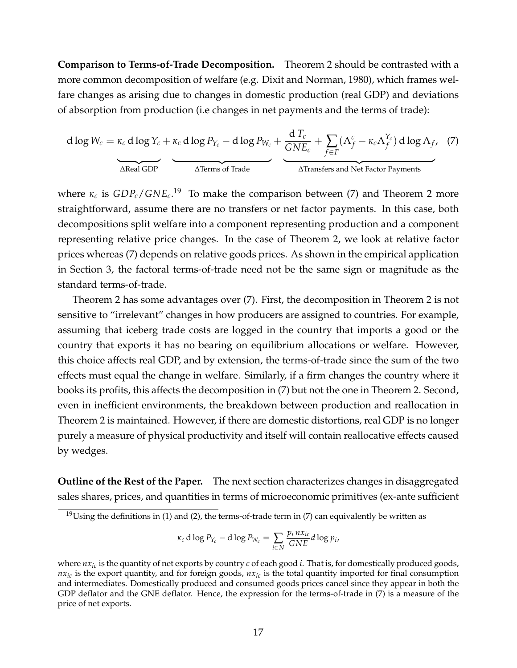**Comparison to Terms-of-Trade Decomposition.** Theorem [2](#page-15-0) should be contrasted with a more common decomposition of welfare (e.g. [Dixit and Norman, 1980\)](#page-44-17), which frames welfare changes as arising due to changes in domestic production (real GDP) and deviations of absorption from production (i.e changes in net payments and the terms of trade):

<span id="page-17-1"></span>d log 
$$
W_c = \kappa_c
$$
 d log  $Y_c + \kappa_c$  d log  $P_{Y_c}$  – d log  $P_{W_c} + \frac{d T_c}{GNE_c} + \sum_{f \in F} (\Lambda_f^c - \kappa_c \Lambda_f^{Y_c})$  d log  $\Lambda_f$ , (7)  
\n $\Delta$ Real GDP

where *κ<sup>c</sup>* is *GDPc*/*GNEc*. [19](#page-17-0) To make the comparison between [\(7\)](#page-17-1) and Theorem [2](#page-15-0) more straightforward, assume there are no transfers or net factor payments. In this case, both decompositions split welfare into a component representing production and a component representing relative price changes. In the case of Theorem [2,](#page-15-0) we look at relative factor prices whereas [\(7\)](#page-17-1) depends on relative goods prices. As shown in the empirical application in Section [3,](#page-12-2) the factoral terms-of-trade need not be the same sign or magnitude as the standard terms-of-trade.

Theorem [2](#page-15-0) has some advantages over [\(7\)](#page-17-1). First, the decomposition in Theorem [2](#page-15-0) is not sensitive to "irrelevant" changes in how producers are assigned to countries. For example, assuming that iceberg trade costs are logged in the country that imports a good or the country that exports it has no bearing on equilibrium allocations or welfare. However, this choice affects real GDP, and by extension, the terms-of-trade since the sum of the two effects must equal the change in welfare. Similarly, if a firm changes the country where it books its profits, this affects the decomposition in [\(7\)](#page-17-1) but not the one in Theorem [2.](#page-15-0) Second, even in inefficient environments, the breakdown between production and reallocation in Theorem [2](#page-15-0) is maintained. However, if there are domestic distortions, real GDP is no longer purely a measure of physical productivity and itself will contain reallocative effects caused by wedges.

**Outline of the Rest of the Paper.** The next section characterizes changes in disaggregated sales shares, prices, and quantities in terms of microeconomic primitives (ex-ante sufficient

$$
\kappa_c \, \mathrm{d} \log P_{Y_c} - \mathrm{d} \log P_{W_c} = \sum_{i \in N} \frac{p_i \, n x_{ic}}{GNE} \, d \log p_i,
$$

<span id="page-17-0"></span> $19$ Using the definitions in [\(1\)](#page-9-1) and [\(2\)](#page-9-2), the terms-of-trade term in [\(7\)](#page-17-1) can equivalently be written as

where  $nx_i$  is the quantity of net exports by country *c* of each good *i*. That is, for domestically produced goods,  $nx<sub>ic</sub>$  is the export quantity, and for foreign goods,  $nx<sub>ic</sub>$  is the total quantity imported for final consumption and intermediates. Domestically produced and consumed goods prices cancel since they appear in both the GDP deflator and the GNE deflator. Hence, the expression for the terms-of-trade in [\(7\)](#page-17-1) is a measure of the price of net exports.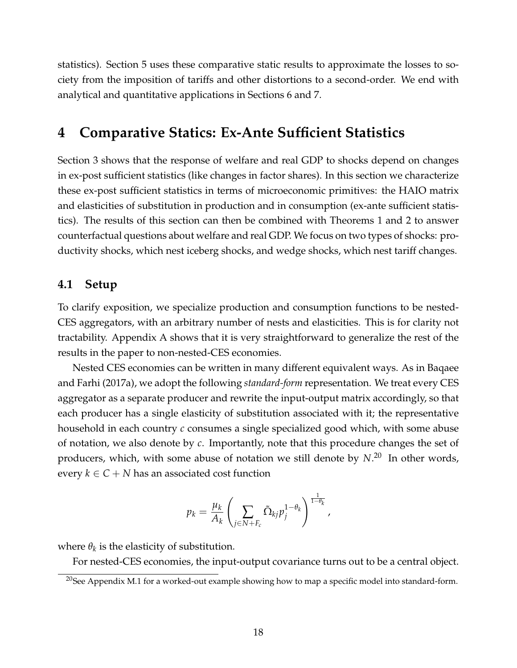statistics). Section [5](#page-25-0) uses these comparative static results to approximate the losses to society from the imposition of tariffs and other distortions to a second-order. We end with analytical and quantitative applications in Sections [6](#page-30-0) and [7.](#page-37-0)

# <span id="page-18-0"></span>**4 Comparative Statics: Ex-Ante Sufficient Statistics**

Section [3](#page-12-0) shows that the response of welfare and real GDP to shocks depend on changes in ex-post sufficient statistics (like changes in factor shares). In this section we characterize these ex-post sufficient statistics in terms of microeconomic primitives: the HAIO matrix and elasticities of substitution in production and in consumption (ex-ante sufficient statistics). The results of this section can then be combined with Theorems [1](#page-13-0) and [2](#page-15-0) to answer counterfactual questions about welfare and real GDP. We focus on two types of shocks: productivity shocks, which nest iceberg shocks, and wedge shocks, which nest tariff changes.

## **4.1 Setup**

To clarify exposition, we specialize production and consumption functions to be nested-CES aggregators, with an arbitrary number of nests and elasticities. This is for clarity not tractability. Appendix A shows that it is very straightforward to generalize the rest of the results in the paper to non-nested-CES economies.

Nested CES economies can be written in many different equivalent ways. As in [Baqaee](#page-43-9) [and Farhi](#page-43-9) [\(2017a\)](#page-43-9), we adopt the following *standard-form* representation. We treat every CES aggregator as a separate producer and rewrite the input-output matrix accordingly, so that each producer has a single elasticity of substitution associated with it; the representative household in each country *c* consumes a single specialized good which, with some abuse of notation, we also denote by *c*. Importantly, note that this procedure changes the set of producers, which, with some abuse of notation we still denote by *N*. [20](#page-18-1) In other words, every  $k \in C + N$  has an associated cost function

$$
p_k = \frac{\mu_k}{A_k} \left( \sum_{j \in N + F_c} \tilde{\Omega}_{kj} p_j^{1-\theta_k} \right)^{\frac{1}{1-\theta_k}},
$$

where  $\theta_k$  is the elasticity of substitution.

For nested-CES economies, the input-output covariance turns out to be a central object.

<span id="page-18-1"></span> $20$ See Appendix M.1 for a worked-out example showing how to map a specific model into standard-form.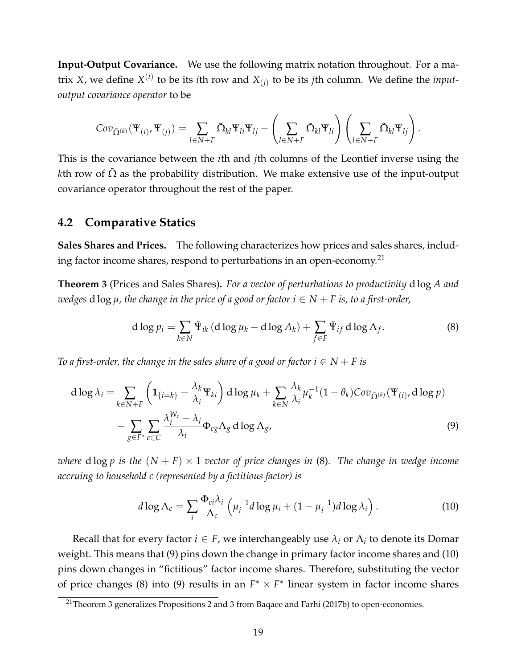**Input-Output Covariance.** We use the following matrix notation throughout. For a matrix *X*, we define  $X^{(i)}$  to be its *i*th row and  $X_{(j)}$  to be its *j*th column. We define the *inputoutput covariance operator* to be

$$
Cov_{\tilde{\Omega}^{(k)}}(\Psi_{(i)},\Psi_{(j)})=\sum_{l\in N+F}\tilde{\Omega}_{kl}\Psi_{li}\Psi_{lj}-\left(\sum_{l\in N+F}\tilde{\Omega}_{kl}\Psi_{li}\right)\left(\sum_{l\in N+F}\tilde{\Omega}_{kl}\Psi_{lj}\right).
$$

This is the covariance between the *i*th and *j*th columns of the Leontief inverse using the *k*th row of  $\Omega$  as the probability distribution. We make extensive use of the input-output covariance operator throughout the rest of the paper.

### **4.2 Comparative Statics**

**Sales Shares and Prices.** The following characterizes how prices and sales shares, includ-ing factor income shares, respond to perturbations in an open-economy.<sup>[21](#page-19-0)</sup>

<span id="page-19-4"></span>**Theorem 3** (Prices and Sales Shares)**.** *For a vector of perturbations to productivity* d log *A and wedges* **d**  $\log \mu$ *, the change in the price of a good or factor*  $i \in N + F$  *is, to a first-order,* 

<span id="page-19-1"></span>
$$
d \log p_i = \sum_{k \in N} \tilde{\Psi}_{ik} \left( d \log \mu_k - d \log A_k \right) + \sum_{f \in F} \tilde{\Psi}_{if} \, d \log \Lambda_f. \tag{8}
$$

*To a first-order, the change in the sales share of a good or factor*  $i \in N + F$  *is* 

$$
d \log \lambda_i = \sum_{k \in N + F} \left( \mathbf{1}_{\{i=k\}} - \frac{\lambda_k}{\lambda_i} \Psi_{ki} \right) d \log \mu_k + \sum_{k \in N} \frac{\lambda_k}{\lambda_i} \mu_k^{-1} (1 - \theta_k) \text{Cov}_{\tilde{\Omega}^{(k)}}(\Psi_{(i)}, d \log p) + \sum_{g \in F^*} \sum_{c \in C} \frac{\lambda_i^{W_c} - \lambda_i}{\lambda_i} \Phi_{cg} \Lambda_g d \log \Lambda_g,
$$
 (9)

*where*  $d \log p$  *is the*  $(N + F) \times 1$  *vector of price changes in* [\(8\)](#page-19-1)*. The change in wedge income accruing to household c (represented by a fictitious factor) is*

<span id="page-19-3"></span><span id="page-19-2"></span>
$$
d \log \Lambda_c = \sum_i \frac{\Phi_{ci} \lambda_i}{\Lambda_c} \left( \mu_i^{-1} d \log \mu_i + (1 - \mu_i^{-1}) d \log \lambda_i \right). \tag{10}
$$

Recall that for every factor  $i \in F$ , we interchangeably use  $\lambda_i$  or  $\Lambda_i$  to denote its Domar weight. This means that [\(9\)](#page-19-2) pins down the change in primary factor income shares and [\(10\)](#page-19-3) pins down changes in "fictitious" factor income shares. Therefore, substituting the vector of price changes [\(8\)](#page-19-1) into [\(9\)](#page-19-2) results in an  $F^* \times F^*$  linear system in factor income shares

<span id="page-19-0"></span><sup>21</sup>Theorem [3](#page-19-4) generalizes Propositions 2 and 3 from [Baqaee and Farhi](#page-43-10) [\(2017b\)](#page-43-10) to open-economies.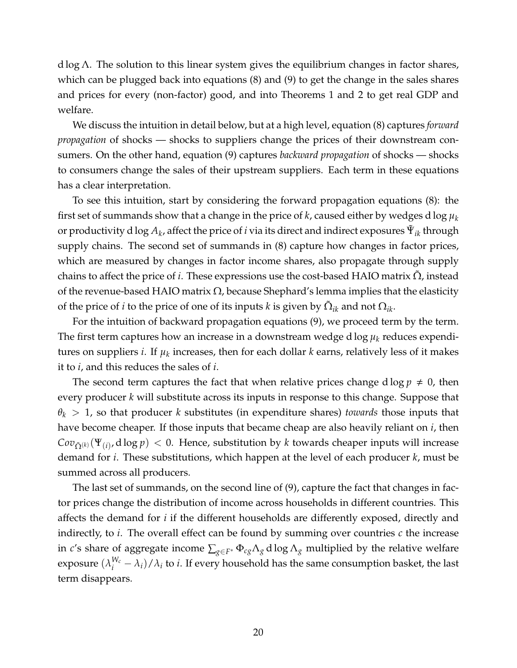d log  $\Lambda$ . The solution to this linear system gives the equilibrium changes in factor shares, which can be plugged back into equations [\(8\)](#page-19-1) and [\(9\)](#page-19-2) to get the change in the sales shares and prices for every (non-factor) good, and into Theorems [1](#page-13-0) and [2](#page-15-0) to get real GDP and welfare.

We discuss the intuition in detail below, but at a high level, equation [\(8\)](#page-19-1) captures *forward propagation* of shocks — shocks to suppliers change the prices of their downstream consumers. On the other hand, equation [\(9\)](#page-19-2) captures *backward propagation* of shocks — shocks to consumers change the sales of their upstream suppliers. Each term in these equations has a clear interpretation.

To see this intuition, start by considering the forward propagation equations [\(8\)](#page-19-1): the first set of summands show that a change in the price of *k*, caused either by wedges d log *µ<sup>k</sup>* or productivity d log  $A_k$ , affect the price of  $i$  via its direct and indirect exposures  $\tilde{\Psi}_{ik}$  through supply chains. The second set of summands in [\(8\)](#page-19-1) capture how changes in factor prices, which are measured by changes in factor income shares, also propagate through supply chains to affect the price of *i*. These expressions use the cost-based HAIO matrix  $\Omega$ , instead of the revenue-based HAIO matrix  $\Omega$ , because Shephard's lemma implies that the elasticity of the price of *i* to the price of one of its inputs *k* is given by  $\tilde{\Omega}_{ik}$  and not  $\Omega_{ik}$ .

For the intuition of backward propagation equations [\(9\)](#page-19-2), we proceed term by the term. The first term captures how an increase in a downstream wedge d  $\log \mu_k$  reduces expenditures on suppliers *i*. If *µ<sup>k</sup>* increases, then for each dollar *k* earns, relatively less of it makes it to *i*, and this reduces the sales of *i*.

The second term captures the fact that when relative prices change d  $\log p \neq 0$ , then every producer *k* will substitute across its inputs in response to this change. Suppose that *θ<sup>k</sup>* > 1, so that producer *k* substitutes (in expenditure shares) *towards* those inputs that have become cheaper. If those inputs that became cheap are also heavily reliant on *i*, then  $Cov_{\tilde{\Omega}^{(k)}}(\Psi_{(i)},d\log p) < 0$ . Hence, substitution by *k* towards cheaper inputs will increase demand for *i*. These substitutions, which happen at the level of each producer *k*, must be summed across all producers.

The last set of summands, on the second line of [\(9\)](#page-19-2), capture the fact that changes in factor prices change the distribution of income across households in different countries. This affects the demand for *i* if the different households are differently exposed, directly and indirectly, to  $i$ . The overall effect can be found by summing over countries  $c$  the increase in *c'*s share of aggregate income  $\sum_{g \in F^*} \Phi_{cg} \Lambda_g$  d log  $\Lambda_g$  multiplied by the relative welfare exposure  $(\lambda_i^{W_c}-\lambda_i)/\lambda_i$  to *i*. If every household has the same consumption basket, the last term disappears.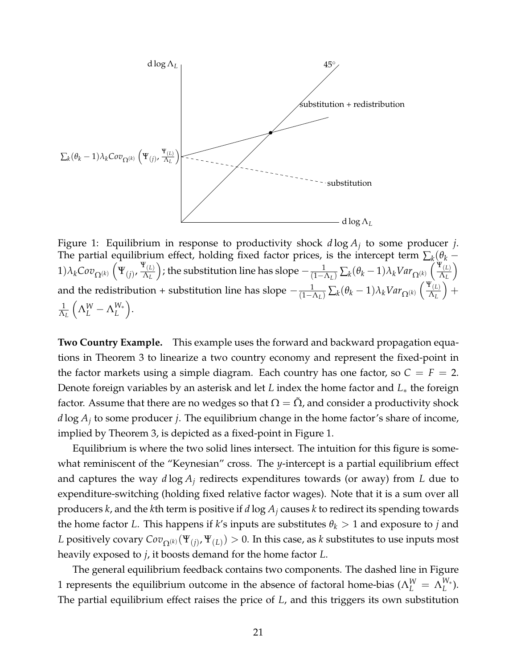<span id="page-21-0"></span>

Figure 1: Equilibrium in response to productivity shock *d* log *A<sup>j</sup>* to some producer *j*. The partial equilibrium effect, holding fixed factor prices, is the intercept term  $\sum_k (\theta_k (1)\lambda_k Cov_{\Omega^{(k)}}\left(\Psi_{(j)},\frac{\Psi_{(L)}}{\Lambda_L}\right)$ Λ*<sup>L</sup>* ); the substitution line has slope  $-\frac{1}{(1-\Lambda_L)}\sum_k(\theta_k-1)\lambda_kVar_{\Omega^{(k)}}\left(\frac{\Psi_{(L)}}{\Lambda_L}\right)$ Λ*<sup>L</sup>*  $\setminus$ and the redistribution + substitution line has slope  $-\frac{1}{(1-\Lambda_L)}\sum_k(\theta_k-1)\lambda_kVar_{\Omega^{(k)}}\left(\frac{\Psi_{(L)}}{\Lambda_L}\right)$ Λ*<sup>L</sup>*  $+$ 1 Λ*<sup>L</sup>*  $\left(\Lambda_L^W - \Lambda_L^{W_*}\right)$ *L* .

**Two Country Example.** This example uses the forward and backward propagation equations in Theorem [3](#page-19-4) to linearize a two country economy and represent the fixed-point in the factor markets using a simple diagram. Each country has one factor, so  $C = F = 2$ . Denote foreign variables by an asterisk and let *L* index the home factor and *L*∗ the foreign factor. Assume that there are no wedges so that  $\Omega = \Omega$ , and consider a productivity shock *d* log *A<sup>j</sup>* to some producer *j*. The equilibrium change in the home factor's share of income, implied by Theorem [3,](#page-19-4) is depicted as a fixed-point in Figure [1.](#page-21-0)

Equilibrium is where the two solid lines intersect. The intuition for this figure is somewhat reminiscent of the "Keynesian" cross. The *y*-intercept is a partial equilibrium effect and captures the way *d* log *A<sup>j</sup>* redirects expenditures towards (or away) from *L* due to expenditure-switching (holding fixed relative factor wages). Note that it is a sum over all producers *k*, and the *k*th term is positive if *d* log *A<sup>j</sup>* causes *k* to redirect its spending towards the home factor *L*. This happens if *k*'s inputs are substitutes  $\theta_k > 1$  and exposure to *j* and *L* positively covary  $Cov_{\Omega^{(k)}}(\Psi_{(j)},\Psi_{(L)})>0.$  In this case, as  $k$  substitutes to use inputs most heavily exposed to *j*, it boosts demand for the home factor *L*.

The general equilibrium feedback contains two components. The dashed line in Figure [1](#page-21-0) represents the equilibrium outcome in the absence of factoral home-bias ( $\Lambda_L^W = \Lambda_L^{W_*}$  $\binom{\mathsf{vv}_*}{L}$ . The partial equilibrium effect raises the price of *L*, and this triggers its own substitution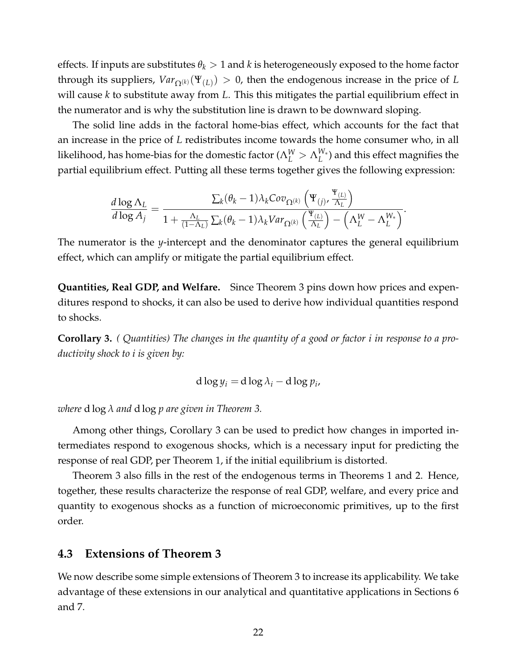effects. If inputs are substitutes  $\theta_k > 1$  and *k* is heterogeneously exposed to the home factor through its suppliers,  $\text{Var}_{\Omega^{(k)}}(\Psi_{(L)}) > 0$ , then the endogenous increase in the price of *L* will cause *k* to substitute away from *L*. This this mitigates the partial equilibrium effect in the numerator and is why the substitution line is drawn to be downward sloping.

The solid line adds in the factoral home-bias effect, which accounts for the fact that an increase in the price of *L* redistributes income towards the home consumer who, in all likelihood, has home-bias for the domestic factor ( $\Lambda^W_L>\Lambda^{W_*}_L$  $L^{V*}$ ) and this effect magnifies the partial equilibrium effect. Putting all these terms together gives the following expression:

$$
\frac{d \log \Lambda_L}{d \log A_j} = \frac{\sum_k (\theta_k - 1) \lambda_k Cov_{\Omega^{(k)}} \left( \Psi_{(j)}, \frac{\Psi_{(L)}}{\Lambda_L} \right)}{1 + \frac{\Lambda_L}{(1 - \Lambda_L)} \sum_k (\theta_k - 1) \lambda_k Var_{\Omega^{(k)}} \left( \frac{\Psi_{(L)}}{\Lambda_L} \right) - \left( \Lambda_L^W - \Lambda_L^{W_*} \right)}.
$$

The numerator is the *y*-intercept and the denominator captures the general equilibrium effect, which can amplify or mitigate the partial equilibrium effect.

**Quantities, Real GDP, and Welfare.** Since Theorem [3](#page-19-4) pins down how prices and expenditures respond to shocks, it can also be used to derive how individual quantities respond to shocks.

<span id="page-22-1"></span>**Corollary 3.** *( Quantities) The changes in the quantity of a good or factor i in response to a productivity shock to i is given by:*

$$
d \log y_i = d \log \lambda_i - d \log p_i,
$$

*where* d log *λ and* d log *p are given in Theorem [3.](#page-19-4)*

Among other things, Corollary [3](#page-22-1) can be used to predict how changes in imported intermediates respond to exogenous shocks, which is a necessary input for predicting the response of real GDP, per Theorem [1,](#page-13-0) if the initial equilibrium is distorted.

Theorem [3](#page-19-4) also fills in the rest of the endogenous terms in Theorems [1](#page-13-0) and [2.](#page-15-0) Hence, together, these results characterize the response of real GDP, welfare, and every price and quantity to exogenous shocks as a function of microeconomic primitives, up to the first order.

### <span id="page-22-0"></span>**4.3 Extensions of Theorem [3](#page-19-4)**

We now describe some simple extensions of Theorem [3](#page-19-4) to increase its applicability. We take advantage of these extensions in our analytical and quantitative applications in Sections [6](#page-30-0) and [7.](#page-37-0)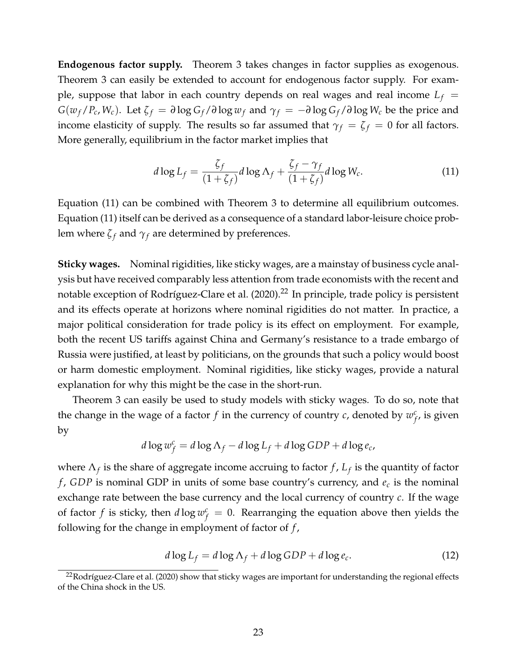**Endogenous factor supply.** Theorem [3](#page-19-4) takes changes in factor supplies as exogenous. Theorem [3](#page-19-4) can easily be extended to account for endogenous factor supply. For example, suppose that labor in each country depends on real wages and real income  $L_f$  =  $G(w_f/P_c, W_c)$ . Let  $\zeta_f = \partial \log G_f / \partial \log w_f$  and  $\gamma_f = -\partial \log G_f / \partial \log W_c$  be the price and income elasticity of supply. The results so far assumed that  $\gamma_f = \zeta_f = 0$  for all factors. More generally, equilibrium in the factor market implies that

<span id="page-23-0"></span>
$$
d\log L_f = \frac{\zeta_f}{(1+\zeta_f)} d\log \Lambda_f + \frac{\zeta_f - \gamma_f}{(1+\zeta_f)} d\log W_c.
$$
 (11)

Equation [\(11\)](#page-23-0) can be combined with Theorem [3](#page-19-4) to determine all equilibrium outcomes. Equation [\(11\)](#page-23-0) itself can be derived as a consequence of a standard labor-leisure choice problem where  $\zeta_f$  and  $\gamma_f$  are determined by preferences.

**Sticky wages.** Nominal rigidities, like sticky wages, are a mainstay of business cycle analysis but have received comparably less attention from trade economists with the recent and notable exception of Rodríguez-Clare et al. [\(2020\)](#page-45-2).<sup>[22](#page-23-1)</sup> In principle, trade policy is persistent and its effects operate at horizons where nominal rigidities do not matter. In practice, a major political consideration for trade policy is its effect on employment. For example, both the recent US tariffs against China and Germany's resistance to a trade embargo of Russia were justified, at least by politicians, on the grounds that such a policy would boost or harm domestic employment. Nominal rigidities, like sticky wages, provide a natural explanation for why this might be the case in the short-run.

Theorem [3](#page-19-4) can easily be used to study models with sticky wages. To do so, note that the change in the wage of a factor  $f$  in the currency of country  $c$ , denoted by  $w_f^c$  $f_f^c$ , is given by

$$
d \log w_f^c = d \log \Lambda_f - d \log L_f + d \log GDP + d \log e_c,
$$

where Λ*<sup>f</sup>* is the share of aggregate income accruing to factor *f* , *L<sup>f</sup>* is the quantity of factor *f* , *GDP* is nominal GDP in units of some base country's currency, and *e<sup>c</sup>* is the nominal exchange rate between the base currency and the local currency of country *c*. If the wage of factor *f* is sticky, then  $d \log w_f^c = 0$ . Rearranging the equation above then yields the following for the change in employment of factor of *f* ,

<span id="page-23-2"></span>
$$
d \log L_f = d \log \Lambda_f + d \log GDP + d \log e_c.
$$
 (12)

<span id="page-23-1"></span> $22$ Rodríguez-Clare et al. [\(2020\)](#page-45-2) show that sticky wages are important for understanding the regional effects of the China shock in the US.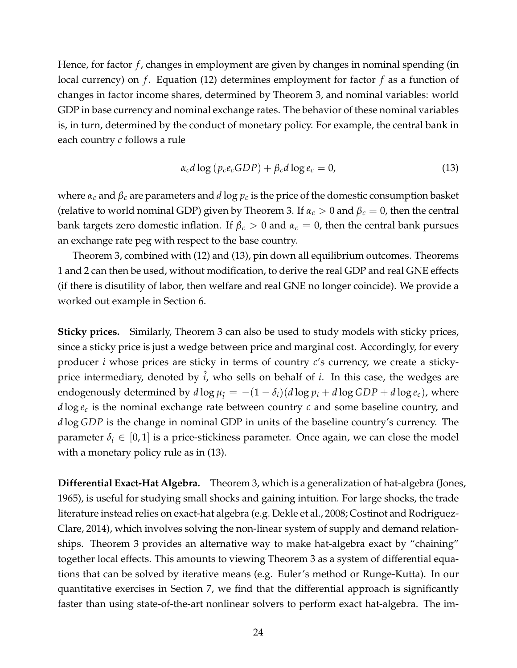Hence, for factor *f* , changes in employment are given by changes in nominal spending (in local currency) on *f*. Equation [\(12\)](#page-23-2) determines employment for factor *f* as a function of changes in factor income shares, determined by Theorem [3,](#page-19-4) and nominal variables: world GDP in base currency and nominal exchange rates. The behavior of these nominal variables is, in turn, determined by the conduct of monetary policy. For example, the central bank in each country *c* follows a rule

<span id="page-24-0"></span>
$$
\alpha_c d \log (p_c e_c GDP) + \beta_c d \log e_c = 0,
$$
\n(13)

where  $\alpha_c$  and  $\beta_c$  are parameters and *d* log  $p_c$  is the price of the domestic consumption basket (relative to world nominal GDP) given by Theorem [3.](#page-19-4) If  $\alpha_c > 0$  and  $\beta_c = 0$ , then the central bank targets zero domestic inflation. If *β<sup>c</sup>* > 0 and *α<sup>c</sup>* = 0, then the central bank pursues an exchange rate peg with respect to the base country.

Theorem [3,](#page-19-4) combined with [\(12\)](#page-23-2) and [\(13\)](#page-24-0), pin down all equilibrium outcomes. Theorems [1](#page-13-0) and [2](#page-15-0) can then be used, without modification, to derive the real GDP and real GNE effects (if there is disutility of labor, then welfare and real GNE no longer coincide). We provide a worked out example in Section [6.](#page-30-0)

**Sticky prices.** Similarly, Theorem [3](#page-19-4) can also be used to study models with sticky prices, since a sticky price is just a wedge between price and marginal cost. Accordingly, for every producer *i* whose prices are sticky in terms of country *c*'s currency, we create a stickyprice intermediary, denoted by  $\hat{i}$ , who sells on behalf of  $i$ . In this case, the wedges are endogenously determined by  $d \log \mu_{\hat{i}} = -(1 - \delta_i)(d \log p_i + d \log GDP + d \log e_c)$ , where *d* log *e<sup>c</sup>* is the nominal exchange rate between country *c* and some baseline country, and *d* log *GDP* is the change in nominal GDP in units of the baseline country's currency. The parameter  $\delta_i \in [0,1]$  is a price-stickiness parameter. Once again, we can close the model with a monetary policy rule as in  $(13)$ .

**Differential Exact-Hat Algebra.** Theorem [3,](#page-19-4) which is a generalization of hat-algebra [\(Jones,](#page-45-1) [1965\)](#page-45-1), is useful for studying small shocks and gaining intuition. For large shocks, the trade literature instead relies on exact-hat algebra (e.g. [Dekle et al., 2008;](#page-44-1) [Costinot and Rodriguez-](#page-44-2)[Clare, 2014\)](#page-44-2), which involves solving the non-linear system of supply and demand relationships. Theorem [3](#page-19-4) provides an alternative way to make hat-algebra exact by "chaining" together local effects. This amounts to viewing Theorem [3](#page-19-4) as a system of differential equations that can be solved by iterative means (e.g. Euler's method or Runge-Kutta). In our quantitative exercises in Section [7,](#page-37-0) we find that the differential approach is significantly faster than using state-of-the-art nonlinear solvers to perform exact hat-algebra. The im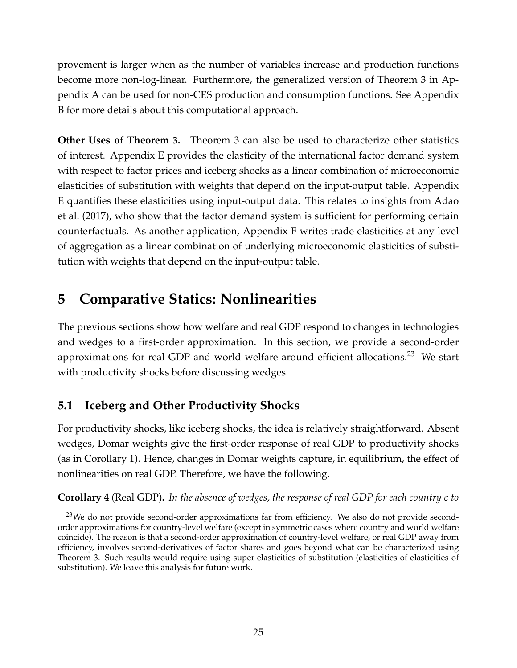provement is larger when as the number of variables increase and production functions become more non-log-linear. Furthermore, the generalized version of Theorem [3](#page-19-4) in Appendix A can be used for non-CES production and consumption functions. See Appendix B for more details about this computational approach.

**Other Uses of Theorem [3.](#page-19-4)** Theorem [3](#page-19-4) can also be used to characterize other statistics of interest. Appendix E provides the elasticity of the international factor demand system with respect to factor prices and iceberg shocks as a linear combination of microeconomic elasticities of substitution with weights that depend on the input-output table. Appendix E quantifies these elasticities using input-output data. This relates to insights from [Adao](#page-43-5) [et al.](#page-43-5) [\(2017\)](#page-43-5), who show that the factor demand system is sufficient for performing certain counterfactuals. As another application, Appendix F writes trade elasticities at any level of aggregation as a linear combination of underlying microeconomic elasticities of substitution with weights that depend on the input-output table.

# <span id="page-25-0"></span>**5 Comparative Statics: Nonlinearities**

The previous sections show how welfare and real GDP respond to changes in technologies and wedges to a first-order approximation. In this section, we provide a second-order approximations for real GDP and world welfare around efficient allocations.<sup>[23](#page-25-1)</sup> We start with productivity shocks before discussing wedges.

# **5.1 Iceberg and Other Productivity Shocks**

For productivity shocks, like iceberg shocks, the idea is relatively straightforward. Absent wedges, Domar weights give the first-order response of real GDP to productivity shocks (as in Corollary [1\)](#page-13-4). Hence, changes in Domar weights capture, in equilibrium, the effect of nonlinearities on real GDP. Therefore, we have the following.

<span id="page-25-2"></span>**Corollary 4** (Real GDP)**.** *In the absence of wedges, the response of real GDP for each country c to*

<span id="page-25-1"></span><sup>&</sup>lt;sup>23</sup>We do not provide second-order approximations far from efficiency. We also do not provide secondorder approximations for country-level welfare (except in symmetric cases where country and world welfare coincide). The reason is that a second-order approximation of country-level welfare, or real GDP away from efficiency, involves second-derivatives of factor shares and goes beyond what can be characterized using Theorem [3.](#page-19-4) Such results would require using super-elasticities of substitution (elasticities of elasticities of substitution). We leave this analysis for future work.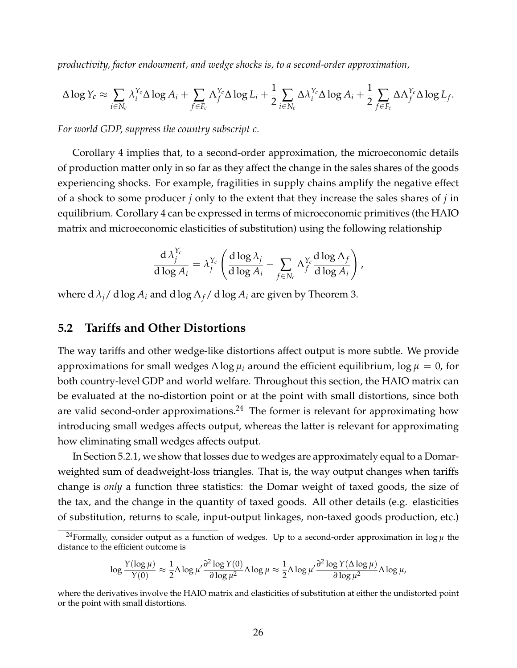*productivity, factor endowment, and wedge shocks is, to a second-order approximation,*

$$
\Delta \log Y_c \approx \sum_{i \in N_c} \lambda_i^{Y_c} \Delta \log A_i + \sum_{f \in F_c} \Lambda_f^{Y_c} \Delta \log L_i + \frac{1}{2} \sum_{i \in N_c} \Delta \lambda_i^{Y_c} \Delta \log A_i + \frac{1}{2} \sum_{f \in F_c} \Delta \Lambda_f^{Y_c} \Delta \log L_f.
$$

*For world GDP, suppress the country subscript c.*

Corollary [4](#page-25-2) implies that, to a second-order approximation, the microeconomic details of production matter only in so far as they affect the change in the sales shares of the goods experiencing shocks. For example, fragilities in supply chains amplify the negative effect of a shock to some producer *j* only to the extent that they increase the sales shares of *j* in equilibrium. Corollary [4](#page-25-2) can be expressed in terms of microeconomic primitives (the HAIO matrix and microeconomic elasticities of substitution) using the following relationship

$$
\frac{\mathrm{d}\,\lambda_j^{Y_c}}{\mathrm{d}\log A_i} = \lambda_j^{Y_c} \left( \frac{\mathrm{d}\log\lambda_j}{\mathrm{d}\log A_i} - \sum_{f\in N_c} \Lambda_f^{Y_c} \frac{\mathrm{d}\log\Lambda_f}{\mathrm{d}\log A_i} \right),
$$

where  $d \lambda_j / d \log A_i$  and  $d \log \Lambda_f / d \log A_i$  are given by Theorem [3.](#page-19-4)

### **5.2 Tariffs and Other Distortions**

The way tariffs and other wedge-like distortions affect output is more subtle. We provide approximations for small wedges ∆ log *µ<sup>i</sup>* around the efficient equilibrium, log *µ* = 0, for both country-level GDP and world welfare. Throughout this section, the HAIO matrix can be evaluated at the no-distortion point or at the point with small distortions, since both are valid second-order approximations.<sup>[24](#page-26-0)</sup> The former is relevant for approximating how introducing small wedges affects output, whereas the latter is relevant for approximating how eliminating small wedges affects output.

In Section [5.2.1,](#page-27-0) we show that losses due to wedges are approximately equal to a Domarweighted sum of deadweight-loss triangles. That is, the way output changes when tariffs change is *only* a function three statistics: the Domar weight of taxed goods, the size of the tax, and the change in the quantity of taxed goods. All other details (e.g. elasticities of substitution, returns to scale, input-output linkages, non-taxed goods production, etc.)

<span id="page-26-0"></span><sup>24</sup>Formally, consider output as a function of wedges. Up to a second-order approximation in  $\log \mu$  the distance to the efficient outcome is

$$
\log \frac{Y(\log \mu)}{Y(0)} \approx \frac{1}{2} \Delta \log \mu' \frac{\partial^2 \log Y(0)}{\partial \log \mu^2} \Delta \log \mu \approx \frac{1}{2} \Delta \log \mu' \frac{\partial^2 \log Y(\Delta \log \mu)}{\partial \log \mu^2} \Delta \log \mu,
$$

where the derivatives involve the HAIO matrix and elasticities of substitution at either the undistorted point or the point with small distortions.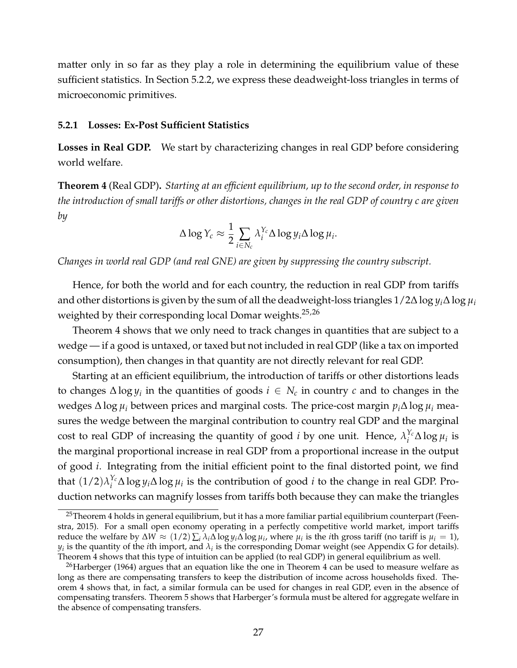matter only in so far as they play a role in determining the equilibrium value of these sufficient statistics. In Section [5.2.2,](#page-29-0) we express these deadweight-loss triangles in terms of microeconomic primitives.

#### <span id="page-27-0"></span>**5.2.1 Losses: Ex-Post Sufficient Statistics**

**Losses in Real GDP.** We start by characterizing changes in real GDP before considering world welfare.

<span id="page-27-3"></span>**Theorem 4** (Real GDP)**.** *Starting at an efficient equilibrium, up to the second order, in response to the introduction of small tariffs or other distortions, changes in the real GDP of country c are given by*

$$
\Delta \log Y_c \approx \frac{1}{2} \sum_{i \in N_c} \lambda_i^{Y_c} \Delta \log y_i \Delta \log \mu_i.
$$

*Changes in world real GDP (and real GNE) are given by suppressing the country subscript.*

Hence, for both the world and for each country, the reduction in real GDP from tariffs and other distortions is given by the sum of all the deadweight-loss triangles 1/2∆ log *yi*∆ log *µ<sup>i</sup>* weighted by their corresponding local Domar weights. $25,26$  $25,26$ 

Theorem [4](#page-27-3) shows that we only need to track changes in quantities that are subject to a wedge — if a good is untaxed, or taxed but not included in real GDP (like a tax on imported consumption), then changes in that quantity are not directly relevant for real GDP.

Starting at an efficient equilibrium, the introduction of tariffs or other distortions leads to changes  $\Delta \log y_i$  in the quantities of goods  $i \in N_c$  in country  $c$  and to changes in the wedges ∆ log *µ<sup>i</sup>* between prices and marginal costs. The price-cost margin *pi*∆ log *µ<sup>i</sup>* measures the wedge between the marginal contribution to country real GDP and the marginal cost to real GDP of increasing the quantity of good *i* by one unit. Hence,  $\lambda_i^{Y_c}$  $\int_i^{r_c} \Delta \log \mu_i$  is the marginal proportional increase in real GDP from a proportional increase in the output of good *i*. Integrating from the initial efficient point to the final distorted point, we find that  $(1/2)\lambda_i^{Y_c}$ *i* ∆ log *yi*∆ log *µ<sup>i</sup>* is the contribution of good *i* to the change in real GDP. Production networks can magnify losses from tariffs both because they can make the triangles

<span id="page-27-1"></span><sup>&</sup>lt;sup>25</sup>Theorem [4](#page-27-3) holds in general equilibrium, but it has a more familiar partial equilibrium counterpart [\(Feen](#page-44-21)[stra, 2015\)](#page-44-21). For a small open economy operating in a perfectly competitive world market, import tariffs *reduce the welfare by*  $\Delta W \approx (1/2) \sum_i \lambda_i \Delta \log y_i \Delta \log \mu_i$ , where  $\mu_i$  is the *i*th gross tariff (no tariff is  $\mu_i = 1$ ),  $y_i$  is the quantity of the *i*th import, and  $\lambda_i$  is the corresponding Domar weight (see Appendix G for details). Theorem [4](#page-27-3) shows that this type of intuition can be applied (to real GDP) in general equilibrium as well.

<span id="page-27-2"></span><sup>&</sup>lt;sup>26</sup>[Harberger](#page-44-22) [\(1964\)](#page-44-22) argues that an equation like the one in Theorem [4](#page-27-3) can be used to measure welfare as long as there are compensating transfers to keep the distribution of income across households fixed. Theorem [4](#page-27-3) shows that, in fact, a similar formula can be used for changes in real GDP, even in the absence of compensating transfers. Theorem [5](#page-28-0) shows that Harberger's formula must be altered for aggregate welfare in the absence of compensating transfers.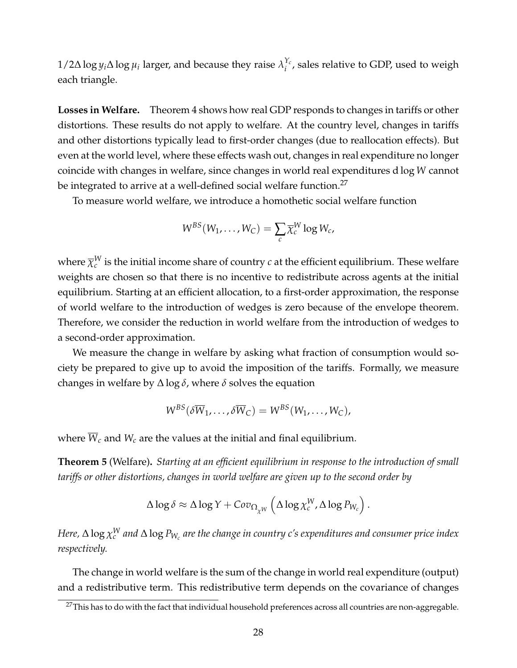$1/2\Delta \log y_i \Delta \log \mu_i$  larger, and because they raise  $\lambda_i^{Y_c}$ *i* , sales relative to GDP, used to weigh each triangle.

**Losses in Welfare.** Theorem [4](#page-27-3) shows how real GDP responds to changes in tariffs or other distortions. These results do not apply to welfare. At the country level, changes in tariffs and other distortions typically lead to first-order changes (due to reallocation effects). But even at the world level, where these effects wash out, changes in real expenditure no longer coincide with changes in welfare, since changes in world real expenditures d log *W* cannot be integrated to arrive at a well-defined social welfare function.<sup>[27](#page-28-1)</sup>

To measure world welfare, we introduce a homothetic social welfare function

$$
W^{BS}(W_1,\ldots,W_C)=\sum_c \overline{\chi}_c^W \log W_c,
$$

where  $\overline{\chi}^W_c$  is the initial income share of country  $c$  at the efficient equilibrium. These welfare weights are chosen so that there is no incentive to redistribute across agents at the initial equilibrium. Starting at an efficient allocation, to a first-order approximation, the response of world welfare to the introduction of wedges is zero because of the envelope theorem. Therefore, we consider the reduction in world welfare from the introduction of wedges to a second-order approximation.

We measure the change in welfare by asking what fraction of consumption would society be prepared to give up to avoid the imposition of the tariffs. Formally, we measure changes in welfare by ∆ log *δ*, where *δ* solves the equation

$$
W^{BS}(\delta \overline{W}_1,\ldots,\delta \overline{W}_C)=W^{BS}(W_1,\ldots,W_C),
$$

where  $\overline{W}_c$  and  $W_c$  are the values at the initial and final equilibrium.

<span id="page-28-0"></span>**Theorem 5** (Welfare)**.** *Starting at an efficient equilibrium in response to the introduction of small tariffs or other distortions, changes in world welfare are given up to the second order by*

$$
\Delta \log \delta \approx \Delta \log Y + Cov_{\Omega_{\chi^W}} \left( \Delta \log \chi_c^W, \Delta \log P_{W_c} \right).
$$

*Here,* Δ  $\log \chi_c^{\rm W}$  and Δ  $\log P_{\rm W_c}$  are the change in country c's expenditures and consumer price index *respectively.*

The change in world welfare is the sum of the change in world real expenditure (output) and a redistributive term. This redistributive term depends on the covariance of changes

<span id="page-28-1"></span><sup>&</sup>lt;sup>27</sup>This has to do with the fact that individual household preferences across all countries are non-aggregable.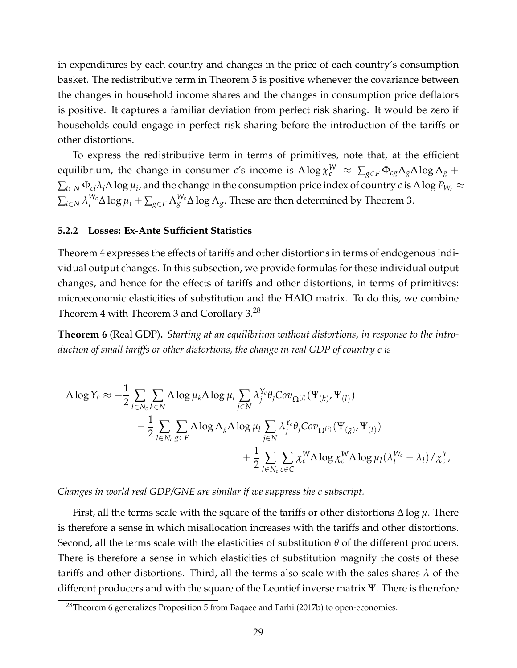in expenditures by each country and changes in the price of each country's consumption basket. The redistributive term in Theorem [5](#page-28-0) is positive whenever the covariance between the changes in household income shares and the changes in consumption price deflators is positive. It captures a familiar deviation from perfect risk sharing. It would be zero if households could engage in perfect risk sharing before the introduction of the tariffs or other distortions.

To express the redistributive term in terms of primitives, note that, at the efficient equilibrium, the change in consumer *c'*s income is  $\Delta\log\chi_c^W ~\approx~ \sum_{g\in F}\Phi_{cg}\Lambda_g\Delta\log\Lambda_g +$  $\sum_{i\in N}\Phi_{ci}\lambda_i\Delta\log\mu_i$ , and the change in the consumption price index of country  $c$  is  $\Delta\log P_{W_c}\approx$  $\sum_{i\in N}\lambda_i^{W_c}$  $\int_i^{W_c}\Delta\log\mu_i+\sum_{g\in F}\Lambda_g^{W_c}\Delta\log\Lambda_g.$  These are then determined by Theorem [3.](#page-19-4)

#### <span id="page-29-0"></span>**5.2.2 Losses: Ex-Ante Sufficient Statistics**

Theorem [4](#page-27-3) expresses the effects of tariffs and other distortions in terms of endogenous individual output changes. In this subsection, we provide formulas for these individual output changes, and hence for the effects of tariffs and other distortions, in terms of primitives: microeconomic elasticities of substitution and the HAIO matrix. To do this, we combine Theorem [4](#page-27-3) with Theorem [3](#page-19-4) and Corollary [3.](#page-22-1)[28](#page-29-1)

<span id="page-29-2"></span>**Theorem 6** (Real GDP)**.** *Starting at an equilibrium without distortions, in response to the introduction of small tariffs or other distortions, the change in real GDP of country c is*

$$
\Delta \log Y_c \approx -\frac{1}{2} \sum_{l \in N_c} \sum_{k \in N} \Delta \log \mu_k \Delta \log \mu_l \sum_{j \in N} \lambda_j^{Y_c} \theta_j \text{Cov}_{\Omega^{(j)}}(\Psi_{(k)}, \Psi_{(l)}) \n- \frac{1}{2} \sum_{l \in N_c} \sum_{g \in F} \Delta \log \Lambda_g \Delta \log \mu_l \sum_{j \in N} \lambda_j^{Y_c} \theta_j \text{Cov}_{\Omega^{(j)}}(\Psi_{(g)}, \Psi_{(l)}) \n+ \frac{1}{2} \sum_{l \in N_c} \sum_{c \in C} \chi_c^W \Delta \log \chi_c^W \Delta \log \mu_l (\lambda_l^{W_c} - \lambda_l) / \chi_c^Y,
$$

*Changes in world real GDP/GNE are similar if we suppress the c subscript.*

First, all the terms scale with the square of the tariffs or other distortions ∆ log *µ*. There is therefore a sense in which misallocation increases with the tariffs and other distortions. Second, all the terms scale with the elasticities of substitution *θ* of the different producers. There is therefore a sense in which elasticities of substitution magnify the costs of these tariffs and other distortions. Third, all the terms also scale with the sales shares *λ* of the different producers and with the square of the Leontief inverse matrix Ψ. There is therefore

<span id="page-29-1"></span><sup>&</sup>lt;sup>28</sup>Theorem [6](#page-29-2) generalizes Proposition 5 from [Baqaee and Farhi](#page-43-10) [\(2017b\)](#page-43-10) to open-economies.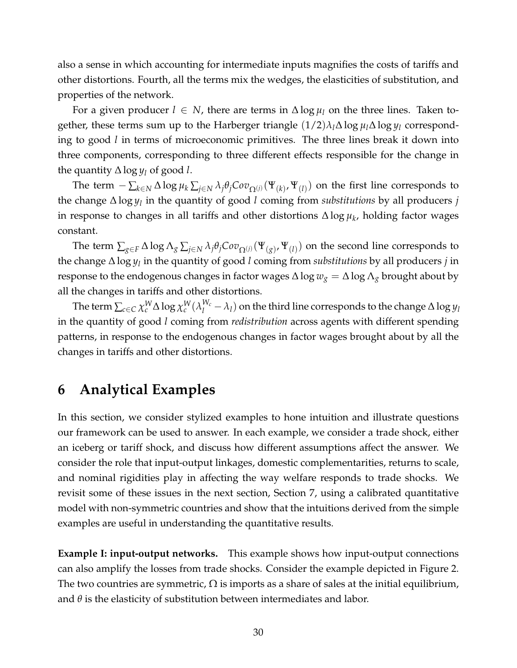also a sense in which accounting for intermediate inputs magnifies the costs of tariffs and other distortions. Fourth, all the terms mix the wedges, the elasticities of substitution, and properties of the network.

For a given producer  $l \in N$ , there are terms in  $\Delta \log \mu_l$  on the three lines. Taken together, these terms sum up to the Harberger triangle  $(1/2)\lambda_l\Delta\log\mu_l\Delta\log\mu_l$  corresponding to good *l* in terms of microeconomic primitives. The three lines break it down into three components, corresponding to three different effects responsible for the change in the quantity  $\Delta \log y_l$  of good *l*.

The term  $-\sum_{k\in N}\Delta\log\mu_k\sum_{j\in N}\lambda_j\theta_jCov_{\Omega^{(j)}}(\Psi_{(k)},\Psi_{(l)})$  on the first line corresponds to the change ∆ log *y<sup>l</sup>* in the quantity of good *l* coming from *substitutions* by all producers *j* in response to changes in all tariffs and other distortions ∆ log *µ<sup>k</sup>* , holding factor wages constant.

The term  $\sum_{g\in F}\Delta\log\Lambda_g\sum_{j\in N}\lambda_j\theta_jCov_{\Omega^{(j)}}(\Psi_{(g)},\Psi_{(l)})$  on the second line corresponds to the change ∆ log *y<sup>l</sup>* in the quantity of good *l* coming from *substitutions* by all producers *j* in response to the endogenous changes in factor wages  $\Delta \log w_g = \Delta \log \Lambda_g$  brought about by all the changes in tariffs and other distortions.

The term  $\sum_{c\in C}\chi_c^W\Delta\log\chi_c^W(\lambda_l^{W_c}-\lambda_l)$  on the third line corresponds to the change  $\Delta\log y_l$ in the quantity of good *l* coming from *redistribution* across agents with different spending patterns, in response to the endogenous changes in factor wages brought about by all the changes in tariffs and other distortions.

# <span id="page-30-0"></span>**6 Analytical Examples**

In this section, we consider stylized examples to hone intuition and illustrate questions our framework can be used to answer. In each example, we consider a trade shock, either an iceberg or tariff shock, and discuss how different assumptions affect the answer. We consider the role that input-output linkages, domestic complementarities, returns to scale, and nominal rigidities play in affecting the way welfare responds to trade shocks. We revisit some of these issues in the next section, Section [7,](#page-37-0) using a calibrated quantitative model with non-symmetric countries and show that the intuitions derived from the simple examples are useful in understanding the quantitative results.

**Example I: input-output networks.** This example shows how input-output connections can also amplify the losses from trade shocks. Consider the example depicted in Figure [2.](#page-31-0) The two countries are symmetric,  $\Omega$  is imports as a share of sales at the initial equilibrium, and  $\theta$  is the elasticity of substitution between intermediates and labor.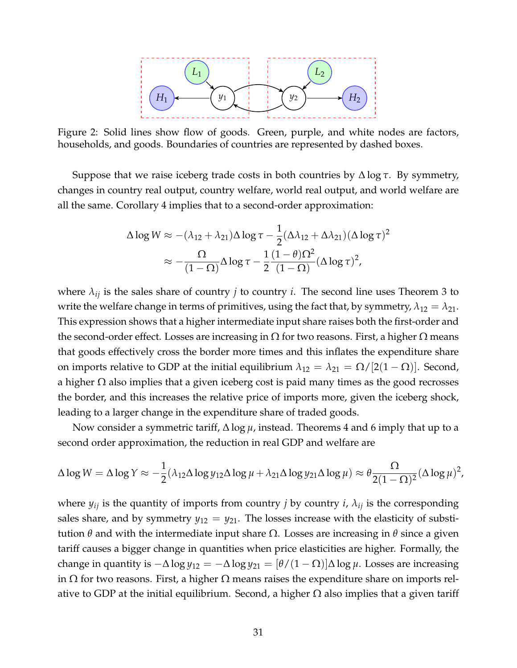<span id="page-31-0"></span>

Figure 2: Solid lines show flow of goods. Green, purple, and white nodes are factors, households, and goods. Boundaries of countries are represented by dashed boxes.

Suppose that we raise iceberg trade costs in both countries by ∆ log *τ*. By symmetry, changes in country real output, country welfare, world real output, and world welfare are all the same. Corollary [4](#page-25-2) implies that to a second-order approximation:

$$
\Delta \log W \approx -(\lambda_{12} + \lambda_{21}) \Delta \log \tau - \frac{1}{2} (\Delta \lambda_{12} + \Delta \lambda_{21}) (\Delta \log \tau)^2
$$

$$
\approx -\frac{\Omega}{(1 - \Omega)} \Delta \log \tau - \frac{1}{2} \frac{(1 - \theta)\Omega^2}{(1 - \Omega)} (\Delta \log \tau)^2,
$$

where  $\lambda_{ij}$  is the sales share of country *j* to country *i*. The second line uses Theorem [3](#page-19-4) to write the welfare change in terms of primitives, using the fact that, by symmetry,  $\lambda_{12} = \lambda_{21}$ . This expression shows that a higher intermediate input share raises both the first-order and the second-order effect. Losses are increasing in  $\Omega$  for two reasons. First, a higher  $\Omega$  means that goods effectively cross the border more times and this inflates the expenditure share on imports relative to GDP at the initial equilibrium  $\lambda_{12} = \lambda_{21} = \Omega/[2(1 - \Omega)]$ . Second, a higher  $\Omega$  also implies that a given iceberg cost is paid many times as the good recrosses the border, and this increases the relative price of imports more, given the iceberg shock, leading to a larger change in the expenditure share of traded goods.

Now consider a symmetric tariff, ∆ log *µ*, instead. Theorems [4](#page-27-3) and [6](#page-29-2) imply that up to a second order approximation, the reduction in real GDP and welfare are

$$
\Delta \log W = \Delta \log Y \approx -\frac{1}{2} (\lambda_{12} \Delta \log y_{12} \Delta \log \mu + \lambda_{21} \Delta \log y_{21} \Delta \log \mu) \approx \theta \frac{\Omega}{2(1-\Omega)^2} (\Delta \log \mu)^2,
$$

where  $y_{ij}$  is the quantity of imports from country *j* by country *i*,  $\lambda_{ij}$  is the corresponding sales share, and by symmetry  $y_{12} = y_{21}$ . The losses increase with the elasticity of substitution *θ* and with the intermediate input share Ω. Losses are increasing in *θ* since a given tariff causes a bigger change in quantities when price elasticities are higher. Formally, the change in quantity is  $-\Delta \log y_{12} = -\Delta \log y_{21} = [\theta/(1-\Omega)]\Delta \log \mu$ . Losses are increasing in  $\Omega$  for two reasons. First, a higher  $\Omega$  means raises the expenditure share on imports relative to GDP at the initial equilibrium. Second, a higher  $\Omega$  also implies that a given tariff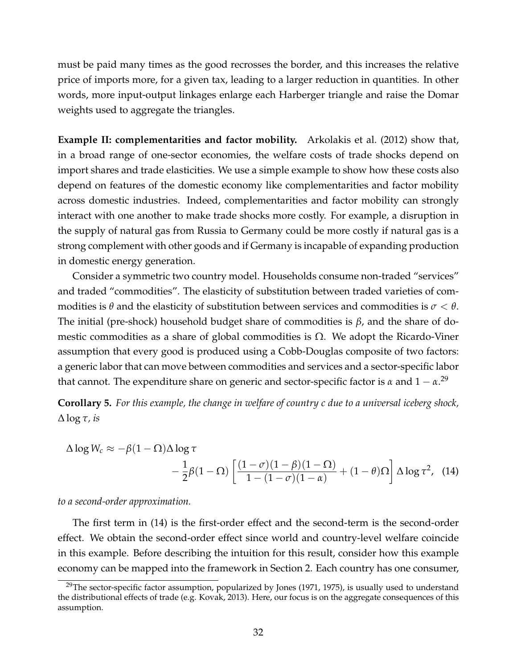must be paid many times as the good recrosses the border, and this increases the relative price of imports more, for a given tax, leading to a larger reduction in quantities. In other words, more input-output linkages enlarge each Harberger triangle and raise the Domar weights used to aggregate the triangles.

**Example II: complementarities and factor mobility.** [Arkolakis et al.](#page-43-13) [\(2012\)](#page-43-13) show that, in a broad range of one-sector economies, the welfare costs of trade shocks depend on import shares and trade elasticities. We use a simple example to show how these costs also depend on features of the domestic economy like complementarities and factor mobility across domestic industries. Indeed, complementarities and factor mobility can strongly interact with one another to make trade shocks more costly. For example, a disruption in the supply of natural gas from Russia to Germany could be more costly if natural gas is a strong complement with other goods and if Germany is incapable of expanding production in domestic energy generation.

Consider a symmetric two country model. Households consume non-traded "services" and traded "commodities". The elasticity of substitution between traded varieties of commodities is  $\theta$  and the elasticity of substitution between services and commodities is  $\sigma < \theta$ . The initial (pre-shock) household budget share of commodities is *β*, and the share of domestic commodities as a share of global commodities is  $Ω$ . We adopt the Ricardo-Viner assumption that every good is produced using a Cobb-Douglas composite of two factors: a generic labor that can move between commodities and services and a sector-specific labor that cannot. The expenditure share on generic and sector-specific factor is *α* and  $1 - α<sup>29</sup>$  $1 - α<sup>29</sup>$  $1 - α<sup>29</sup>$ 

<span id="page-32-2"></span>**Corollary 5.** *For this example, the change in welfare of country c due to a universal iceberg shock,* ∆ log *τ, is*

<span id="page-32-1"></span>
$$
\Delta \log W_c \approx -\beta (1 - \Omega) \Delta \log \tau
$$
  
 
$$
- \frac{1}{2}\beta (1 - \Omega) \left[ \frac{(1 - \sigma)(1 - \beta)(1 - \Omega)}{1 - (1 - \sigma)(1 - \alpha)} + (1 - \theta)\Omega \right] \Delta \log \tau^2, \quad (14)
$$

*to a second-order approximation.*

The first term in [\(14\)](#page-32-1) is the first-order effect and the second-term is the second-order effect. We obtain the second-order effect since world and country-level welfare coincide in this example. Before describing the intuition for this result, consider how this example economy can be mapped into the framework in Section [2.](#page-6-0) Each country has one consumer,

<span id="page-32-0"></span> $^{29}$ The sector-specific factor assumption, popularized by [Jones](#page-45-16) [\(1971,](#page-45-16) [1975\)](#page-45-17), is usually used to understand the distributional effects of trade (e.g. [Kovak, 2013\)](#page-45-18). Here, our focus is on the aggregate consequences of this assumption.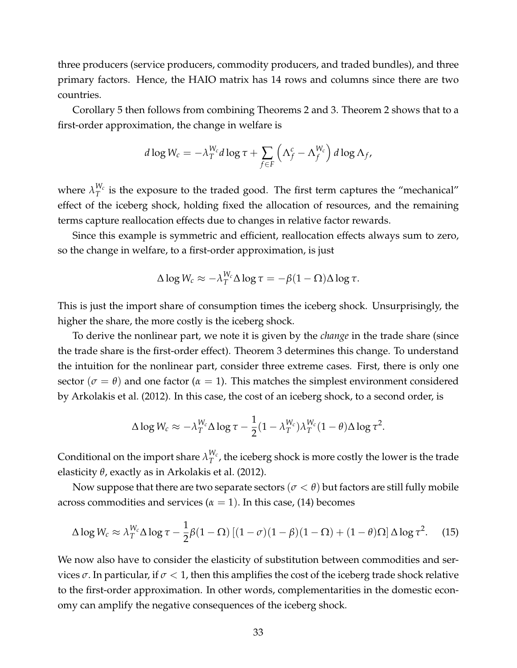three producers (service producers, commodity producers, and traded bundles), and three primary factors. Hence, the HAIO matrix has 14 rows and columns since there are two countries.

Corollary [5](#page-32-2) then follows from combining Theorems [2](#page-15-0) and [3.](#page-19-4) Theorem [2](#page-15-0) shows that to a first-order approximation, the change in welfare is

$$
d \log W_c = -\lambda_T^{W_c} d \log \tau + \sum_{f \in F} \left( \Lambda_f^c - \Lambda_f^{W_c} \right) d \log \Lambda_f,
$$

where  $\lambda_T^{W_c}$  $T^{\prime\prime_c}_T$  is the exposure to the traded good. The first term captures the "mechanical" effect of the iceberg shock, holding fixed the allocation of resources, and the remaining terms capture reallocation effects due to changes in relative factor rewards.

Since this example is symmetric and efficient, reallocation effects always sum to zero, so the change in welfare, to a first-order approximation, is just

$$
\Delta \log W_c \approx -\lambda_T^{W_c} \Delta \log \tau = -\beta (1 - \Omega) \Delta \log \tau.
$$

This is just the import share of consumption times the iceberg shock. Unsurprisingly, the higher the share, the more costly is the iceberg shock.

To derive the nonlinear part, we note it is given by the *change* in the trade share (since the trade share is the first-order effect). Theorem [3](#page-19-4) determines this change. To understand the intuition for the nonlinear part, consider three extreme cases. First, there is only one sector ( $\sigma = \theta$ ) and one factor ( $\alpha = 1$ ). This matches the simplest environment considered by [Arkolakis et al.](#page-43-13) [\(2012\)](#page-43-13). In this case, the cost of an iceberg shock, to a second order, is

<span id="page-33-0"></span>
$$
\Delta \log W_c \approx -\lambda_T^{W_c} \Delta \log \tau - \frac{1}{2} (1 - \lambda_T^{W_c}) \lambda_T^{W_c} (1 - \theta) \Delta \log \tau^2.
$$

Conditional on the import share  $\lambda_T^{W_c}$  $T^{\mathsf{v}_c}$ , the iceberg shock is more costly the lower is the trade elasticity *θ*, exactly as in [Arkolakis et al.](#page-43-13) [\(2012\)](#page-43-13).

Now suppose that there are two separate sectors ( $\sigma < \theta$ ) but factors are still fully mobile across commodities and services ( $\alpha = 1$ ). In this case, [\(14\)](#page-32-1) becomes

$$
\Delta \log W_c \approx \lambda_T^{W_c} \Delta \log \tau - \frac{1}{2} \beta (1 - \Omega) \left[ (1 - \sigma)(1 - \beta)(1 - \Omega) + (1 - \theta)\Omega \right] \Delta \log \tau^2.
$$
 (15)

We now also have to consider the elasticity of substitution between commodities and services  $\sigma$ . In particular, if  $\sigma$  < 1, then this amplifies the cost of the iceberg trade shock relative to the first-order approximation. In other words, complementarities in the domestic economy can amplify the negative consequences of the iceberg shock.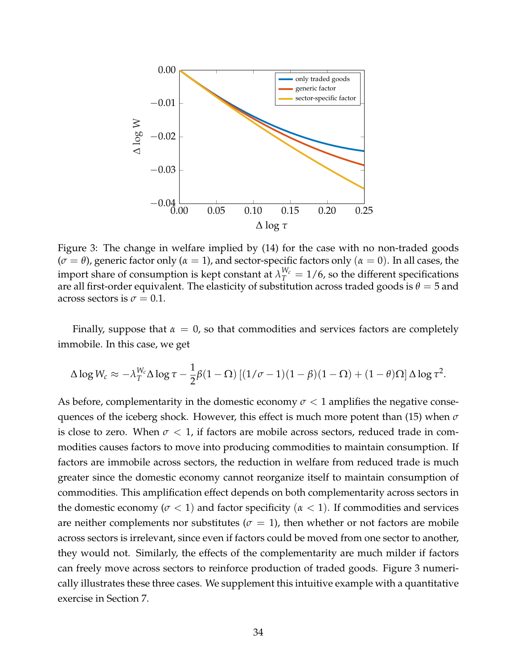<span id="page-34-0"></span>

Figure 3: The change in welfare implied by [\(14\)](#page-32-1) for the case with no non-traded goods  $(\sigma = \theta)$ , generic factor only ( $\alpha = 1$ ), and sector-specific factors only ( $\alpha = 0$ ). In all cases, the import share of consumption is kept constant at  $\lambda_T^{W_c} = 1/6$ , so the different specifications are all first-order equivalent. The elasticity of substitution across traded goods is  $\theta = 5$  and across sectors is  $\sigma = 0.1$ .

Finally, suppose that  $\alpha = 0$ , so that commodities and services factors are completely immobile. In this case, we get

$$
\Delta \log W_c \approx -\lambda_T^{W_c} \Delta \log \tau - \frac{1}{2}\beta (1-\Omega) \left[ (1/\sigma - 1)(1-\beta)(1-\Omega) + (1-\theta)\Omega \right] \Delta \log \tau^2.
$$

As before, complementarity in the domestic economy  $\sigma < 1$  amplifies the negative consequences of the iceberg shock. However, this effect is much more potent than [\(15\)](#page-33-0) when *σ* is close to zero. When  $\sigma < 1$ , if factors are mobile across sectors, reduced trade in commodities causes factors to move into producing commodities to maintain consumption. If factors are immobile across sectors, the reduction in welfare from reduced trade is much greater since the domestic economy cannot reorganize itself to maintain consumption of commodities. This amplification effect depends on both complementarity across sectors in the domestic economy ( $\sigma$  < 1) and factor specificity ( $\alpha$  < 1). If commodities and services are neither complements nor substitutes ( $\sigma = 1$ ), then whether or not factors are mobile across sectors is irrelevant, since even if factors could be moved from one sector to another, they would not. Similarly, the effects of the complementarity are much milder if factors can freely move across sectors to reinforce production of traded goods. Figure [3](#page-34-0) numerically illustrates these three cases. We supplement this intuitive example with a quantitative exercise in Section [7.](#page-37-0)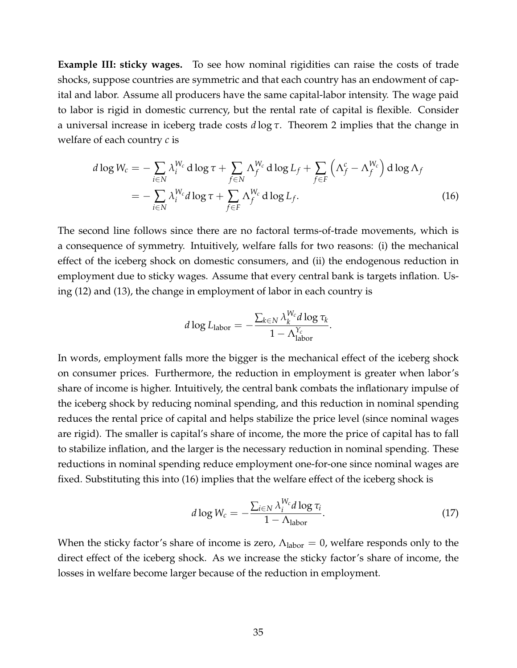**Example III: sticky wages.** To see how nominal rigidities can raise the costs of trade shocks, suppose countries are symmetric and that each country has an endowment of capital and labor. Assume all producers have the same capital-labor intensity. The wage paid to labor is rigid in domestic currency, but the rental rate of capital is flexible. Consider a universal increase in iceberg trade costs *d* log *τ*. Theorem [2](#page-15-0) implies that the change in welfare of each country *c* is

$$
d \log W_c = -\sum_{i \in N} \lambda_i^{W_c} d \log \tau + \sum_{f \in N} \Lambda_f^{W_c} d \log L_f + \sum_{f \in F} \left( \Lambda_f^c - \Lambda_f^{W_c} \right) d \log \Lambda_f
$$
  
= 
$$
-\sum_{i \in N} \lambda_i^{W_c} d \log \tau + \sum_{f \in F} \Lambda_f^{W_c} d \log L_f.
$$
 (16)

The second line follows since there are no factoral terms-of-trade movements, which is a consequence of symmetry. Intuitively, welfare falls for two reasons: (i) the mechanical effect of the iceberg shock on domestic consumers, and (ii) the endogenous reduction in employment due to sticky wages. Assume that every central bank is targets inflation. Using [\(12\)](#page-23-2) and [\(13\)](#page-24-0), the change in employment of labor in each country is

<span id="page-35-0"></span>
$$
d \log L_{\text{labor}} = -\frac{\sum_{k \in N} \lambda_k^{W_c} d \log \tau_k}{1 - \Lambda_{\text{labor}}^{Y_c}}.
$$

In words, employment falls more the bigger is the mechanical effect of the iceberg shock on consumer prices. Furthermore, the reduction in employment is greater when labor's share of income is higher. Intuitively, the central bank combats the inflationary impulse of the iceberg shock by reducing nominal spending, and this reduction in nominal spending reduces the rental price of capital and helps stabilize the price level (since nominal wages are rigid). The smaller is capital's share of income, the more the price of capital has to fall to stabilize inflation, and the larger is the necessary reduction in nominal spending. These reductions in nominal spending reduce employment one-for-one since nominal wages are fixed. Substituting this into [\(16\)](#page-35-0) implies that the welfare effect of the iceberg shock is

<span id="page-35-1"></span>
$$
d \log W_c = -\frac{\sum_{i \in N} \lambda_i^{W_c} d \log \tau_i}{1 - \Lambda_{\text{labor}}}.
$$
\n(17)

When the sticky factor's share of income is zero,  $\Lambda_{\text{labor}} = 0$ , welfare responds only to the direct effect of the iceberg shock. As we increase the sticky factor's share of income, the losses in welfare become larger because of the reduction in employment.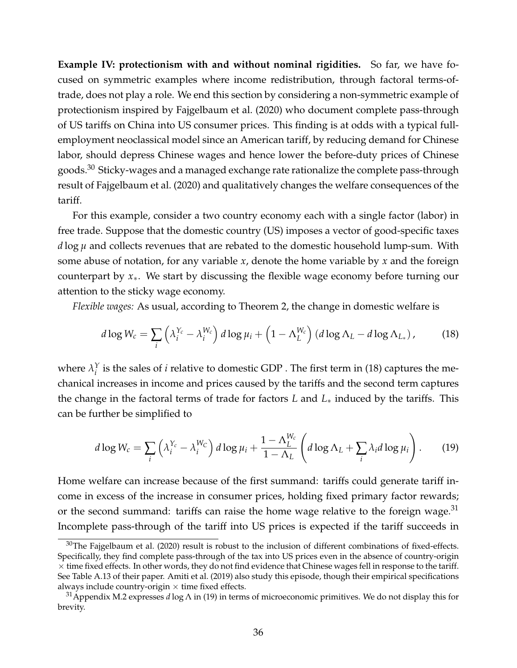**Example IV: protectionism with and without nominal rigidities.** So far, we have focused on symmetric examples where income redistribution, through factoral terms-oftrade, does not play a role. We end this section by considering a non-symmetric example of protectionism inspired by [Fajgelbaum et al.](#page-44-0) [\(2020\)](#page-44-0) who document complete pass-through of US tariffs on China into US consumer prices. This finding is at odds with a typical fullemployment neoclassical model since an American tariff, by reducing demand for Chinese labor, should depress Chinese wages and hence lower the before-duty prices of Chinese goods.<sup>[30](#page-36-0)</sup> Sticky-wages and a managed exchange rate rationalize the complete pass-through result of [Fajgelbaum et al.](#page-44-0) [\(2020\)](#page-44-0) and qualitatively changes the welfare consequences of the tariff.

For this example, consider a two country economy each with a single factor (labor) in free trade. Suppose that the domestic country (US) imposes a vector of good-specific taxes *d* log *µ* and collects revenues that are rebated to the domestic household lump-sum. With some abuse of notation, for any variable *x*, denote the home variable by *x* and the foreign counterpart by *x*∗. We start by discussing the flexible wage economy before turning our attention to the sticky wage economy.

*Flexible wages:* As usual, according to Theorem [2,](#page-15-0) the change in domestic welfare is

<span id="page-36-1"></span>
$$
d\log W_c = \sum_i \left(\lambda_i^{Y_c} - \lambda_i^{W_c}\right) d\log \mu_i + \left(1 - \Lambda_L^{W_c}\right) \left(d\log \Lambda_L - d\log \Lambda_{L_*}\right),\tag{18}
$$

where  $\lambda_i^Y$  $i<sub>i</sub>$  is the sales of *i* relative to domestic GDP . The first term in [\(18\)](#page-36-1) captures the mechanical increases in income and prices caused by the tariffs and the second term captures the change in the factoral terms of trade for factors *L* and *L*∗ induced by the tariffs. This can be further be simplified to

<span id="page-36-3"></span>
$$
d\log W_c = \sum_i \left(\lambda_i^{Y_c} - \lambda_i^{W_C}\right) d\log \mu_i + \frac{1 - \Lambda_L^{W_c}}{1 - \Lambda_L} \left(d\log \Lambda_L + \sum_i \lambda_i d\log \mu_i\right). \tag{19}
$$

Home welfare can increase because of the first summand: tariffs could generate tariff income in excess of the increase in consumer prices, holding fixed primary factor rewards; or the second summand: tariffs can raise the home wage relative to the foreign wage.  $31$ Incomplete pass-through of the tariff into US prices is expected if the tariff succeeds in

<span id="page-36-0"></span> $30$ The [Fajgelbaum et al.](#page-44-0) [\(2020\)](#page-44-0) result is robust to the inclusion of different combinations of fixed-effects. Specifically, they find complete pass-through of the tax into US prices even in the absence of country-origin  $\times$  time fixed effects. In other words, they do not find evidence that Chinese wages fell in response to the tariff. See Table A.13 of their paper. [Amiti et al.](#page-43-14) [\(2019\)](#page-43-14) also study this episode, though their empirical specifications always include country-origin  $\times$  time fixed effects.

<span id="page-36-2"></span><sup>31</sup>Appendix M.2 expresses *d* log Λ in [\(19\)](#page-36-3) in terms of microeconomic primitives. We do not display this for brevity.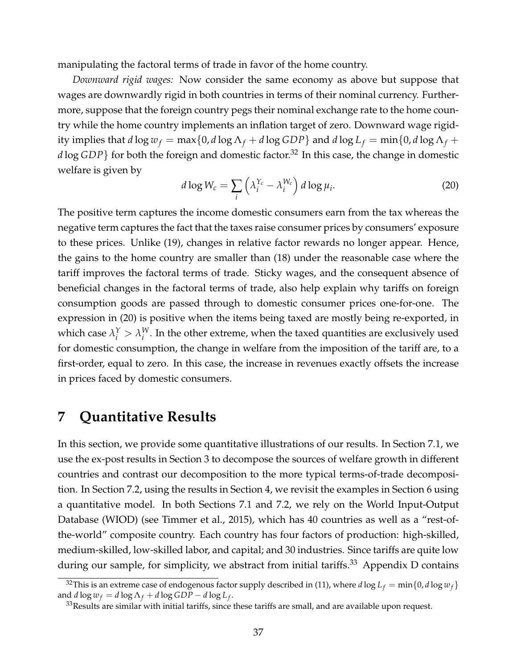manipulating the factoral terms of trade in favor of the home country.

*Downward rigid wages:* Now consider the same economy as above but suppose that wages are downwardly rigid in both countries in terms of their nominal currency. Furthermore, suppose that the foreign country pegs their nominal exchange rate to the home country while the home country implements an inflation target of zero. Downward wage rigidity implies that  $d \log w_f = \max\{0, d \log \Lambda_f + d \log GDP\}$  and  $d \log L_f = \min\{0, d \log \Lambda_f + d \log \Lambda_f\}$ *d* log *GDP*} for both the foreign and domestic factor.<sup>[32](#page-37-1)</sup> In this case, the change in domestic welfare is given by

<span id="page-37-2"></span>
$$
d \log W_c = \sum_i \left( \lambda_i^{Y_c} - \lambda_i^{W_c} \right) d \log \mu_i. \tag{20}
$$

The positive term captures the income domestic consumers earn from the tax whereas the negative term captures the fact that the taxes raise consumer prices by consumers' exposure to these prices. Unlike [\(19\)](#page-36-3), changes in relative factor rewards no longer appear. Hence, the gains to the home country are smaller than [\(18\)](#page-36-1) under the reasonable case where the tariff improves the factoral terms of trade. Sticky wages, and the consequent absence of beneficial changes in the factoral terms of trade, also help explain why tariffs on foreign consumption goods are passed through to domestic consumer prices one-for-one. The expression in [\(20\)](#page-37-2) is positive when the items being taxed are mostly being re-exported, in which case  $\lambda_i^Y > \lambda_i^W$  $i^{\prime\prime}$ . In the other extreme, when the taxed quantities are exclusively used for domestic consumption, the change in welfare from the imposition of the tariff are, to a first-order, equal to zero. In this case, the increase in revenues exactly offsets the increase in prices faced by domestic consumers.

# <span id="page-37-0"></span>**7 Quantitative Results**

In this section, we provide some quantitative illustrations of our results. In Section [7.1,](#page-38-0) we use the ex-post results in Section [3](#page-12-0) to decompose the sources of welfare growth in different countries and contrast our decomposition to the more typical terms-of-trade decomposition. In Section [7.2,](#page-39-0) using the results in Section [4,](#page-18-0) we revisit the examples in Section [6](#page-30-0) using a quantitative model. In both Sections [7.1](#page-38-0) and [7.2,](#page-39-0) we rely on the World Input-Output Database (WIOD) (see [Timmer et al., 2015\)](#page-45-19), which has 40 countries as well as a "rest-ofthe-world" composite country. Each country has four factors of production: high-skilled, medium-skilled, low-skilled labor, and capital; and 30 industries. Since tariffs are quite low during our sample, for simplicity, we abstract from initial tariffs.<sup>[33](#page-37-3)</sup> Appendix D contains

<span id="page-37-1"></span><sup>&</sup>lt;sup>32</sup>This is an extreme case of endogenous factor supply described in [\(11\)](#page-23-0), where  $d \log L_f = \min\{0, d \log w_f\}$ and  $d \log w_f = d \log \Lambda_f + d \log GDP - d \log L_f$ .

<span id="page-37-3"></span> $33$ Results are similar with initial tariffs, since these tariffs are small, and are available upon request.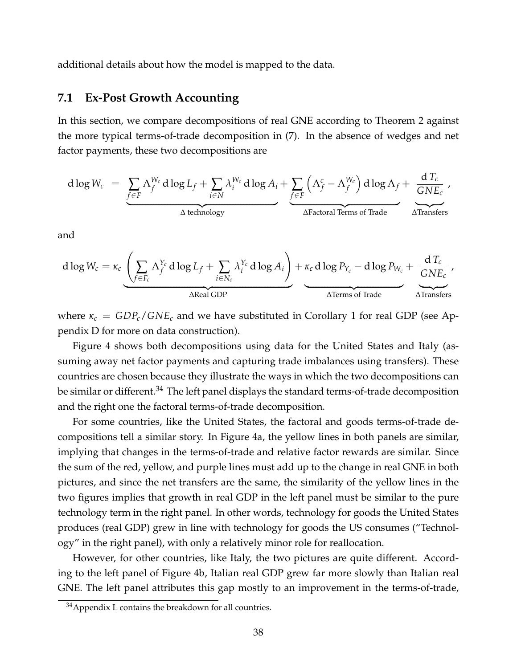additional details about how the model is mapped to the data.

### <span id="page-38-0"></span>**7.1 Ex-Post Growth Accounting**

In this section, we compare decompositions of real GNE according to Theorem [2](#page-15-0) against the more typical terms-of-trade decomposition in [\(7\)](#page-17-1). In the absence of wedges and net factor payments, these two decompositions are

$$
d \log W_c = \underbrace{\sum_{f \in F} \Lambda_f^{W_c} d \log L_f}_{\Delta \text{ technology}} + \underbrace{\sum_{i \in N} \lambda_i^{W_c} d \log A_i}_{\Delta \text{factoral Terms of Trade}} + \underbrace{\frac{d T_c}{G N E_c}}_{\Delta \text{Francival Terms of Trade}}
$$

and

$$
d \log W_c = \kappa_c \underbrace{\left(\sum_{f \in F_c} \Lambda_f^{Y_c} d \log L_f + \sum_{i \in N_c} \lambda_i^{Y_c} d \log A_i\right)}_{\text{AReal GDP}} + \kappa_c d \log P_{Y_c} - d \log P_{W_c} + \underbrace{\frac{d T_c}{GNE_c}}_{\text{ATerms of Trade}} ,
$$

where  $\kappa_c = GDP_c/GNE_c$  and we have substituted in Corollary [1](#page-13-4) for real GDP (see Appendix D for more on data construction).

Figure [4](#page-39-1) shows both decompositions using data for the United States and Italy (assuming away net factor payments and capturing trade imbalances using transfers). These countries are chosen because they illustrate the ways in which the two decompositions can be similar or different.[34](#page-38-1) The left panel displays the standard terms-of-trade decomposition and the right one the factoral terms-of-trade decomposition.

For some countries, like the United States, the factoral and goods terms-of-trade decompositions tell a similar story. In Figure [4a,](#page-39-1) the yellow lines in both panels are similar, implying that changes in the terms-of-trade and relative factor rewards are similar. Since the sum of the red, yellow, and purple lines must add up to the change in real GNE in both pictures, and since the net transfers are the same, the similarity of the yellow lines in the two figures implies that growth in real GDP in the left panel must be similar to the pure technology term in the right panel. In other words, technology for goods the United States produces (real GDP) grew in line with technology for goods the US consumes ("Technology" in the right panel), with only a relatively minor role for reallocation.

However, for other countries, like Italy, the two pictures are quite different. According to the left panel of Figure [4b,](#page-39-1) Italian real GDP grew far more slowly than Italian real GNE. The left panel attributes this gap mostly to an improvement in the terms-of-trade,

<span id="page-38-1"></span> $34$ Appendix L contains the breakdown for all countries.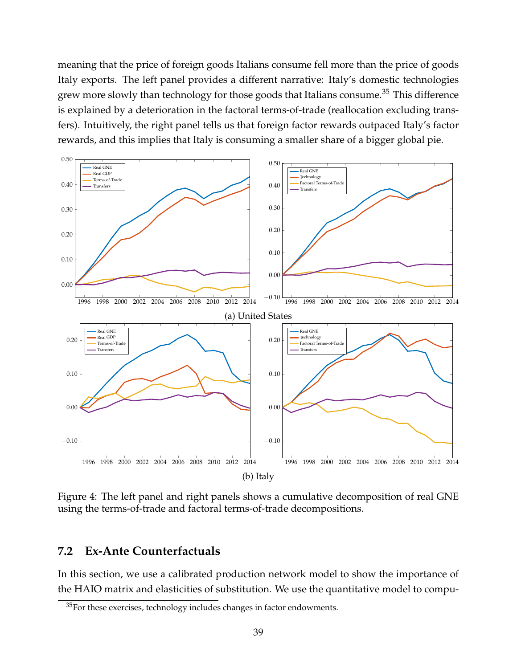meaning that the price of foreign goods Italians consume fell more than the price of goods Italy exports. The left panel provides a different narrative: Italy's domestic technologies grew more slowly than technology for those goods that Italians consume.<sup>[35](#page-39-2)</sup> This difference is explained by a deterioration in the factoral terms-of-trade (reallocation excluding transfers). Intuitively, the right panel tells us that foreign factor rewards outpaced Italy's factor rewards, and this implies that Italy is consuming a smaller share of a bigger global pie.

<span id="page-39-1"></span>

Figure 4: The left panel and right panels shows a cumulative decomposition of real GNE using the terms-of-trade and factoral terms-of-trade decompositions.

## <span id="page-39-0"></span>**7.2 Ex-Ante Counterfactuals**

In this section, we use a calibrated production network model to show the importance of the HAIO matrix and elasticities of substitution. We use the quantitative model to compu-

<span id="page-39-2"></span><sup>&</sup>lt;sup>35</sup>For these exercises, technology includes changes in factor endowments.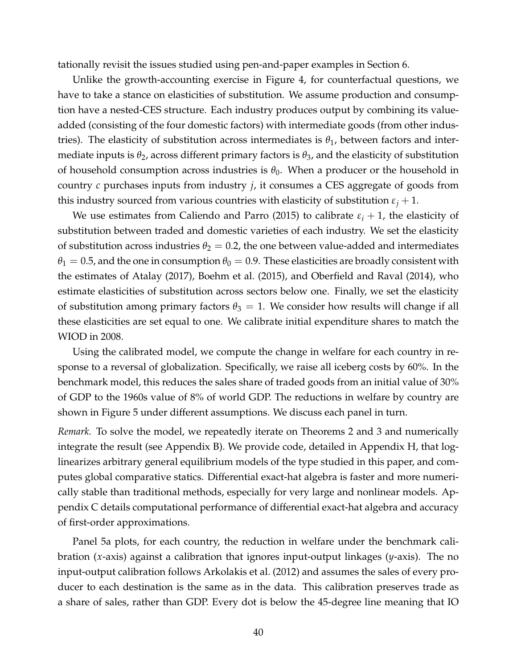tationally revisit the issues studied using pen-and-paper examples in Section [6.](#page-30-0)

Unlike the growth-accounting exercise in Figure [4,](#page-39-1) for counterfactual questions, we have to take a stance on elasticities of substitution. We assume production and consumption have a nested-CES structure. Each industry produces output by combining its valueadded (consisting of the four domestic factors) with intermediate goods (from other industries). The elasticity of substitution across intermediates is  $\theta_1$ , between factors and intermediate inputs is  $\theta_2$ , across different primary factors is  $\theta_3$ , and the elasticity of substitution of household consumption across industries is  $\theta_0$ . When a producer or the household in country *c* purchases inputs from industry *j*, it consumes a CES aggregate of goods from this industry sourced from various countries with elasticity of substitution  $\varepsilon_j + 1$ .

We use estimates from [Caliendo and Parro](#page-44-3) [\(2015\)](#page-44-3) to calibrate  $\varepsilon_i + 1$ , the elasticity of substitution between traded and domestic varieties of each industry. We set the elasticity of substitution across industries  $\theta_2 = 0.2$ , the one between value-added and intermediates  $\theta_1 = 0.5$ , and the one in consumption  $\theta_0 = 0.9$ . These elasticities are broadly consistent with the estimates of [Atalay](#page-43-8) [\(2017\)](#page-43-8), [Boehm et al.](#page-44-23) [\(2015\)](#page-44-23), and [Oberfield and Raval](#page-45-20) [\(2014\)](#page-45-20), who estimate elasticities of substitution across sectors below one. Finally, we set the elasticity of substitution among primary factors  $\theta_3 = 1$ . We consider how results will change if all these elasticities are set equal to one. We calibrate initial expenditure shares to match the WIOD in 2008.

Using the calibrated model, we compute the change in welfare for each country in response to a reversal of globalization. Specifically, we raise all iceberg costs by 60%. In the benchmark model, this reduces the sales share of traded goods from an initial value of 30% of GDP to the 1960s value of 8% of world GDP. The reductions in welfare by country are shown in Figure [5](#page-41-0) under different assumptions. We discuss each panel in turn.

*Remark*. To solve the model, we repeatedly iterate on Theorems [2](#page-15-0) and [3](#page-19-4) and numerically integrate the result (see Appendix B). We provide code, detailed in Appendix H, that loglinearizes arbitrary general equilibrium models of the type studied in this paper, and computes global comparative statics. Differential exact-hat algebra is faster and more numerically stable than traditional methods, especially for very large and nonlinear models. Appendix C details computational performance of differential exact-hat algebra and accuracy of first-order approximations.

Panel [5a](#page-41-0) plots, for each country, the reduction in welfare under the benchmark calibration (*x*-axis) against a calibration that ignores input-output linkages (*y*-axis). The no input-output calibration follows [Arkolakis et al.](#page-43-13) [\(2012\)](#page-43-13) and assumes the sales of every producer to each destination is the same as in the data. This calibration preserves trade as a share of sales, rather than GDP. Every dot is below the 45-degree line meaning that IO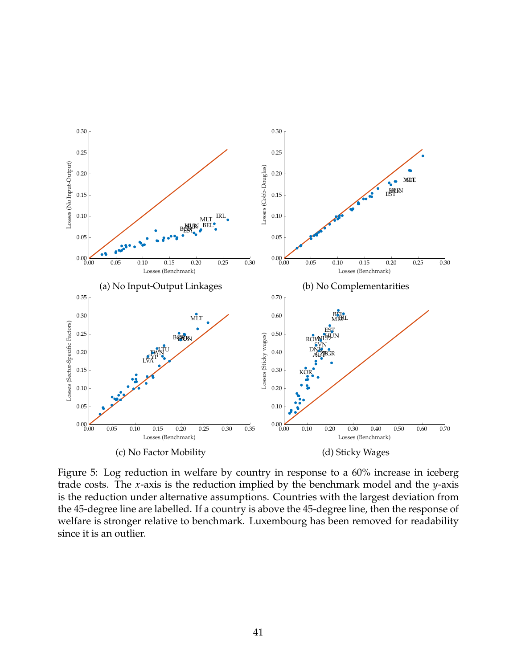<span id="page-41-0"></span>

Figure 5: Log reduction in welfare by country in response to a 60% increase in iceberg trade costs. The *x*-axis is the reduction implied by the benchmark model and the *y*-axis is the reduction under alternative assumptions. Countries with the largest deviation from the 45-degree line are labelled. If a country is above the 45-degree line, then the response of welfare is stronger relative to benchmark. Luxembourg has been removed for readability since it is an outlier.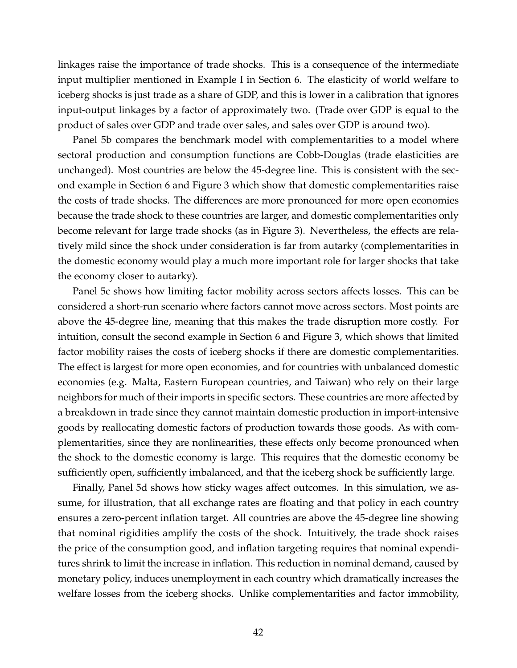linkages raise the importance of trade shocks. This is a consequence of the intermediate input multiplier mentioned in Example I in Section [6.](#page-30-0) The elasticity of world welfare to iceberg shocks is just trade as a share of GDP, and this is lower in a calibration that ignores input-output linkages by a factor of approximately two. (Trade over GDP is equal to the product of sales over GDP and trade over sales, and sales over GDP is around two).

Panel [5b](#page-41-0) compares the benchmark model with complementarities to a model where sectoral production and consumption functions are Cobb-Douglas (trade elasticities are unchanged). Most countries are below the 45-degree line. This is consistent with the second example in Section [6](#page-30-0) and Figure [3](#page-34-0) which show that domestic complementarities raise the costs of trade shocks. The differences are more pronounced for more open economies because the trade shock to these countries are larger, and domestic complementarities only become relevant for large trade shocks (as in Figure [3\)](#page-34-0). Nevertheless, the effects are relatively mild since the shock under consideration is far from autarky (complementarities in the domestic economy would play a much more important role for larger shocks that take the economy closer to autarky).

Panel [5c](#page-41-0) shows how limiting factor mobility across sectors affects losses. This can be considered a short-run scenario where factors cannot move across sectors. Most points are above the 45-degree line, meaning that this makes the trade disruption more costly. For intuition, consult the second example in Section [6](#page-30-0) and Figure [3,](#page-34-0) which shows that limited factor mobility raises the costs of iceberg shocks if there are domestic complementarities. The effect is largest for more open economies, and for countries with unbalanced domestic economies (e.g. Malta, Eastern European countries, and Taiwan) who rely on their large neighbors for much of their imports in specific sectors. These countries are more affected by a breakdown in trade since they cannot maintain domestic production in import-intensive goods by reallocating domestic factors of production towards those goods. As with complementarities, since they are nonlinearities, these effects only become pronounced when the shock to the domestic economy is large. This requires that the domestic economy be sufficiently open, sufficiently imbalanced, and that the iceberg shock be sufficiently large.

Finally, Panel [5d](#page-41-0) shows how sticky wages affect outcomes. In this simulation, we assume, for illustration, that all exchange rates are floating and that policy in each country ensures a zero-percent inflation target. All countries are above the 45-degree line showing that nominal rigidities amplify the costs of the shock. Intuitively, the trade shock raises the price of the consumption good, and inflation targeting requires that nominal expenditures shrink to limit the increase in inflation. This reduction in nominal demand, caused by monetary policy, induces unemployment in each country which dramatically increases the welfare losses from the iceberg shocks. Unlike complementarities and factor immobility,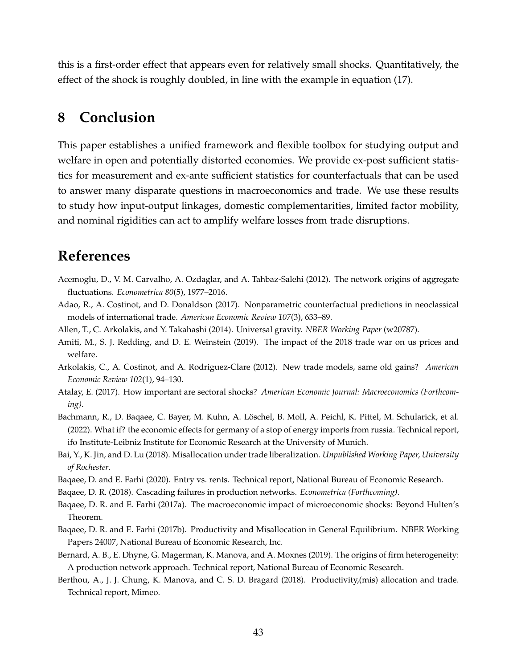this is a first-order effect that appears even for relatively small shocks. Quantitatively, the effect of the shock is roughly doubled, in line with the example in equation [\(17\)](#page-35-1).

# <span id="page-43-1"></span>**8 Conclusion**

This paper establishes a unified framework and flexible toolbox for studying output and welfare in open and potentially distorted economies. We provide ex-post sufficient statistics for measurement and ex-ante sufficient statistics for counterfactuals that can be used to answer many disparate questions in macroeconomics and trade. We use these results to study how input-output linkages, domestic complementarities, limited factor mobility, and nominal rigidities can act to amplify welfare losses from trade disruptions.

# **References**

- <span id="page-43-7"></span>Acemoglu, D., V. M. Carvalho, A. Ozdaglar, and A. Tahbaz-Salehi (2012). The network origins of aggregate fluctuations. *Econometrica 80*(5), 1977–2016.
- <span id="page-43-5"></span>Adao, R., A. Costinot, and D. Donaldson (2017). Nonparametric counterfactual predictions in neoclassical models of international trade. *American Economic Review 107*(3), 633–89.
- <span id="page-43-6"></span>Allen, T., C. Arkolakis, and Y. Takahashi (2014). Universal gravity. *NBER Working Paper* (w20787).
- <span id="page-43-14"></span>Amiti, M., S. J. Redding, and D. E. Weinstein (2019). The impact of the 2018 trade war on us prices and welfare.
- <span id="page-43-13"></span>Arkolakis, C., A. Costinot, and A. Rodriguez-Clare (2012). New trade models, same old gains? *American Economic Review 102*(1), 94–130.
- <span id="page-43-8"></span>Atalay, E. (2017). How important are sectoral shocks? *American Economic Journal: Macroeconomics (Forthcoming)*.
- <span id="page-43-0"></span>Bachmann, R., D. Baqaee, C. Bayer, M. Kuhn, A. Löschel, B. Moll, A. Peichl, K. Pittel, M. Schularick, et al. (2022). What if? the economic effects for germany of a stop of energy imports from russia. Technical report, ifo Institute-Leibniz Institute for Economic Research at the University of Munich.
- <span id="page-43-4"></span>Bai, Y., K. Jin, and D. Lu (2018). Misallocation under trade liberalization. *Unpublished Working Paper, University of Rochester*.
- <span id="page-43-12"></span>Baqaee, D. and E. Farhi (2020). Entry vs. rents. Technical report, National Bureau of Economic Research.
- <span id="page-43-11"></span>Baqaee, D. R. (2018). Cascading failures in production networks. *Econometrica (Forthcoming)*.
- <span id="page-43-9"></span>Baqaee, D. R. and E. Farhi (2017a). The macroeconomic impact of microeconomic shocks: Beyond Hulten's Theorem.
- <span id="page-43-10"></span>Baqaee, D. R. and E. Farhi (2017b). Productivity and Misallocation in General Equilibrium. NBER Working Papers 24007, National Bureau of Economic Research, Inc.
- <span id="page-43-2"></span>Bernard, A. B., E. Dhyne, G. Magerman, K. Manova, and A. Moxnes (2019). The origins of firm heterogeneity: A production network approach. Technical report, National Bureau of Economic Research.
- <span id="page-43-3"></span>Berthou, A., J. J. Chung, K. Manova, and C. S. D. Bragard (2018). Productivity,(mis) allocation and trade. Technical report, Mimeo.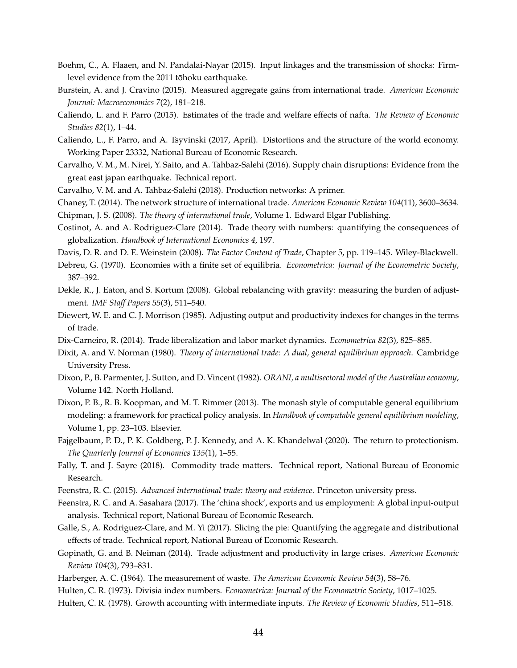- <span id="page-44-23"></span>Boehm, C., A. Flaaen, and N. Pandalai-Nayar (2015). Input linkages and the transmission of shocks: Firmlevel evidence from the 2011 tōhoku earthquake.
- <span id="page-44-15"></span>Burstein, A. and J. Cravino (2015). Measured aggregate gains from international trade. *American Economic Journal: Macroeconomics 7*(2), 181–218.
- <span id="page-44-3"></span>Caliendo, L. and F. Parro (2015). Estimates of the trade and welfare effects of nafta. *The Review of Economic Studies 82*(1), 1–44.
- <span id="page-44-4"></span>Caliendo, L., F. Parro, and A. Tsyvinski (2017, April). Distortions and the structure of the world economy. Working Paper 23332, National Bureau of Economic Research.
- <span id="page-44-11"></span>Carvalho, V. M., M. Nirei, Y. Saito, and A. Tahbaz-Salehi (2016). Supply chain disruptions: Evidence from the great east japan earthquake. Technical report.
- <span id="page-44-13"></span><span id="page-44-12"></span>Carvalho, V. M. and A. Tahbaz-Salehi (2018). Production networks: A primer.
- <span id="page-44-18"></span>Chaney, T. (2014). The network structure of international trade. *American Economic Review 104*(11), 3600–3634.
- <span id="page-44-2"></span>Chipman, J. S. (2008). *The theory of international trade*, Volume 1. Edward Elgar Publishing.
- Costinot, A. and A. Rodriguez-Clare (2014). Trade theory with numbers: quantifying the consequences of globalization. *Handbook of International Economics 4*, 197.
- <span id="page-44-19"></span><span id="page-44-6"></span>Davis, D. R. and D. E. Weinstein (2008). *The Factor Content of Trade*, Chapter 5, pp. 119–145. Wiley-Blackwell.
- Debreu, G. (1970). Economies with a finite set of equilibria. *Econometrica: Journal of the Econometric Society*, 387–392.
- <span id="page-44-1"></span>Dekle, R., J. Eaton, and S. Kortum (2008). Global rebalancing with gravity: measuring the burden of adjustment. *IMF Staff Papers 55*(3), 511–540.
- <span id="page-44-16"></span>Diewert, W. E. and C. J. Morrison (1985). Adjusting output and productivity indexes for changes in the terms of trade.
- <span id="page-44-8"></span>Dix-Carneiro, R. (2014). Trade liberalization and labor market dynamics. *Econometrica 82*(3), 825–885.
- <span id="page-44-17"></span>Dixit, A. and V. Norman (1980). *Theory of international trade: A dual, general equilibrium approach*. Cambridge University Press.
- Dixon, P., B. Parmenter, J. Sutton, and D. Vincent (1982). *ORANI, a multisectoral model of the Australian economy*, Volume 142. North Holland.
- <span id="page-44-10"></span>Dixon, P. B., R. B. Koopman, and M. T. Rimmer (2013). The monash style of computable general equilibrium modeling: a framework for practical policy analysis. In *Handbook of computable general equilibrium modeling*, Volume 1, pp. 23–103. Elsevier.
- <span id="page-44-0"></span>Fajgelbaum, P. D., P. K. Goldberg, P. J. Kennedy, and A. K. Khandelwal (2020). The return to protectionism. *The Quarterly Journal of Economics 135*(1), 1–55.
- <span id="page-44-5"></span>Fally, T. and J. Sayre (2018). Commodity trade matters. Technical report, National Bureau of Economic Research.
- <span id="page-44-21"></span>Feenstra, R. C. (2015). *Advanced international trade: theory and evidence*. Princeton university press.
- <span id="page-44-7"></span>Feenstra, R. C. and A. Sasahara (2017). The 'china shock', exports and us employment: A global input-output analysis. Technical report, National Bureau of Economic Research.
- <span id="page-44-9"></span>Galle, S., A. Rodriguez-Clare, and M. Yi (2017). Slicing the pie: Quantifying the aggregate and distributional effects of trade. Technical report, National Bureau of Economic Research.
- <span id="page-44-20"></span>Gopinath, G. and B. Neiman (2014). Trade adjustment and productivity in large crises. *American Economic Review 104*(3), 793–831.
- <span id="page-44-22"></span>Harberger, A. C. (1964). The measurement of waste. *The American Economic Review 54*(3), 58–76.
- <span id="page-44-14"></span>Hulten, C. R. (1973). Divisia index numbers. *Econometrica: Journal of the Econometric Society*, 1017–1025.
- Hulten, C. R. (1978). Growth accounting with intermediate inputs. *The Review of Economic Studies*, 511–518.